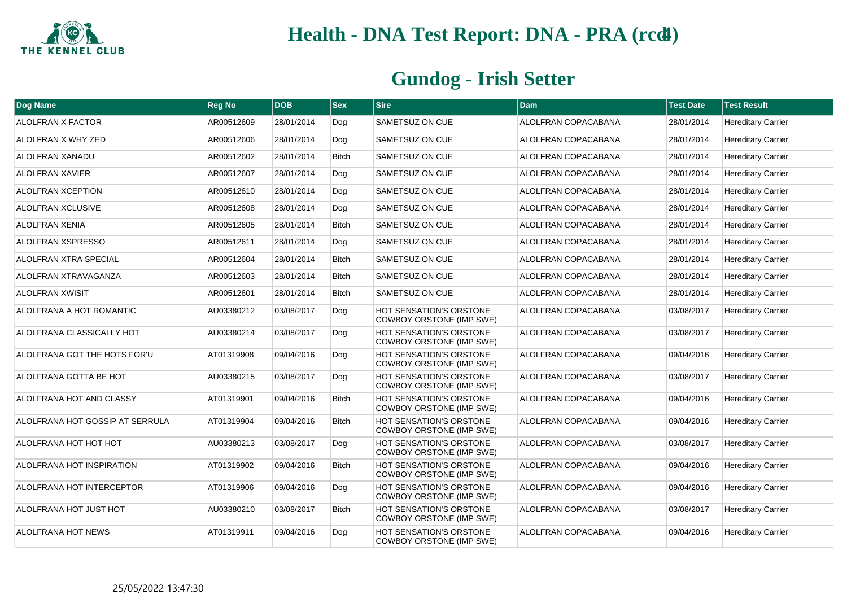

| Dog Name                        | <b>Reg No</b> | <b>DOB</b> | $ s_{ex} $   | <b>Sire</b>                                                | Dam                        | <b>Test Date</b> | <b>Test Result</b>        |
|---------------------------------|---------------|------------|--------------|------------------------------------------------------------|----------------------------|------------------|---------------------------|
| <b>ALOLFRAN X FACTOR</b>        | AR00512609    | 28/01/2014 | Dog          | SAMETSUZ ON CUE                                            | ALOLFRAN COPACABANA        | 28/01/2014       | <b>Hereditary Carrier</b> |
| ALOLFRAN X WHY ZED              | AR00512606    | 28/01/2014 | Dog          | SAMETSUZ ON CUE                                            | ALOLFRAN COPACABANA        | 28/01/2014       | <b>Hereditary Carrier</b> |
| ALOLFRAN XANADU                 | AR00512602    | 28/01/2014 | <b>Bitch</b> | <b>SAMETSUZ ON CUE</b>                                     | ALOLFRAN COPACABANA        | 28/01/2014       | <b>Hereditary Carrier</b> |
| <b>ALOLFRAN XAVIER</b>          | AR00512607    | 28/01/2014 | Dog          | SAMETSUZ ON CUE                                            | ALOLFRAN COPACABANA        | 28/01/2014       | <b>Hereditary Carrier</b> |
| ALOLFRAN XCEPTION               | AR00512610    | 28/01/2014 | Dog          | SAMETSUZ ON CUE                                            | ALOLFRAN COPACABANA        | 28/01/2014       | <b>Hereditary Carrier</b> |
| ALOLFRAN XCLUSIVE               | AR00512608    | 28/01/2014 | Dog          | SAMETSUZ ON CUE                                            | ALOLFRAN COPACABANA        | 28/01/2014       | <b>Hereditary Carrier</b> |
| ALOLFRAN XENIA                  | AR00512605    | 28/01/2014 | <b>Bitch</b> | <b>SAMETSUZ ON CUE</b>                                     | ALOLFRAN COPACABANA        | 28/01/2014       | <b>Hereditary Carrier</b> |
| <b>ALOLFRAN XSPRESSO</b>        | AR00512611    | 28/01/2014 | Dog          | SAMETSUZ ON CUE                                            | ALOLFRAN COPACABANA        | 28/01/2014       | <b>Hereditary Carrier</b> |
| <b>ALOLFRAN XTRA SPECIAL</b>    | AR00512604    | 28/01/2014 | <b>Bitch</b> | <b>SAMETSUZ ON CUE</b>                                     | ALOLFRAN COPACABANA        | 28/01/2014       | <b>Hereditary Carrier</b> |
| ALOLFRAN XTRAVAGANZA            | AR00512603    | 28/01/2014 | <b>Bitch</b> | SAMETSUZ ON CUE                                            | ALOLFRAN COPACABANA        | 28/01/2014       | <b>Hereditary Carrier</b> |
| <b>ALOLFRAN XWISIT</b>          | AR00512601    | 28/01/2014 | <b>Bitch</b> | <b>SAMETSUZ ON CUE</b>                                     | <b>ALOLFRAN COPACABANA</b> | 28/01/2014       | <b>Hereditary Carrier</b> |
| ALOLFRANA A HOT ROMANTIC        | AU03380212    | 03/08/2017 | Dog          | <b>HOT SENSATION'S ORSTONE</b><br>COWBOY ORSTONE (IMP SWE) | ALOLFRAN COPACABANA        | 03/08/2017       | <b>Hereditary Carrier</b> |
| ALOLFRANA CLASSICALLY HOT       | AU03380214    | 03/08/2017 | Dog          | <b>HOT SENSATION'S ORSTONE</b><br>COWBOY ORSTONE (IMP SWE) | ALOLFRAN COPACABANA        | 03/08/2017       | <b>Hereditary Carrier</b> |
| ALOLFRANA GOT THE HOTS FOR'U    | AT01319908    | 09/04/2016 | Dog          | <b>HOT SENSATION'S ORSTONE</b><br>COWBOY ORSTONE (IMP SWE) | ALOLFRAN COPACABANA        | 09/04/2016       | <b>Hereditary Carrier</b> |
| ALOLFRANA GOTTA BE HOT          | AU03380215    | 03/08/2017 | Dog          | <b>HOT SENSATION'S ORSTONE</b><br>COWBOY ORSTONE (IMP SWE) | ALOLFRAN COPACABANA        | 03/08/2017       | <b>Hereditary Carrier</b> |
| ALOLFRANA HOT AND CLASSY        | AT01319901    | 09/04/2016 | <b>Bitch</b> | <b>HOT SENSATION'S ORSTONE</b><br>COWBOY ORSTONE (IMP SWE) | ALOLFRAN COPACABANA        | 09/04/2016       | <b>Hereditary Carrier</b> |
| ALOLFRANA HOT GOSSIP AT SERRULA | AT01319904    | 09/04/2016 | <b>Bitch</b> | <b>HOT SENSATION'S ORSTONE</b><br>COWBOY ORSTONE (IMP SWE) | <b>ALOLFRAN COPACABANA</b> | 09/04/2016       | <b>Hereditary Carrier</b> |
| ALOLFRANA HOT HOT HOT           | AU03380213    | 03/08/2017 | Dog          | <b>HOT SENSATION'S ORSTONE</b><br>COWBOY ORSTONE (IMP SWE) | ALOLFRAN COPACABANA        | 03/08/2017       | <b>Hereditary Carrier</b> |
| ALOLFRANA HOT INSPIRATION       | AT01319902    | 09/04/2016 | <b>Bitch</b> | <b>HOT SENSATION'S ORSTONE</b><br>COWBOY ORSTONE (IMP SWE) | ALOLFRAN COPACABANA        | 09/04/2016       | <b>Hereditary Carrier</b> |
| ALOLFRANA HOT INTERCEPTOR       | AT01319906    | 09/04/2016 | Dog          | <b>HOT SENSATION'S ORSTONE</b><br>COWBOY ORSTONE (IMP SWE) | ALOLFRAN COPACABANA        | 09/04/2016       | <b>Hereditary Carrier</b> |
| ALOLFRANA HOT JUST HOT          | AU03380210    | 03/08/2017 | <b>Bitch</b> | HOT SENSATION'S ORSTONE<br>COWBOY ORSTONE (IMP SWE)        | ALOLFRAN COPACABANA        | 03/08/2017       | <b>Hereditary Carrier</b> |
| <b>ALOLFRANA HOT NEWS</b>       | AT01319911    | 09/04/2016 | Dog          | <b>HOT SENSATION'S ORSTONE</b><br>COWBOY ORSTONE (IMP SWE) | ALOLFRAN COPACABANA        | 09/04/2016       | <b>Hereditary Carrier</b> |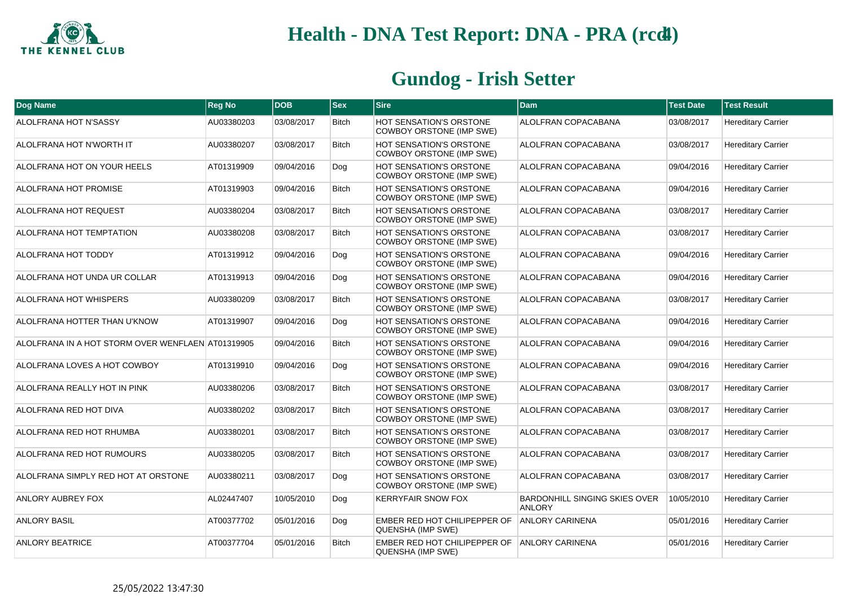

| Dog Name                                          | <b>Reg No</b> | <b>DOB</b> | <b>Sex</b>   | <b>Sire</b>                                                | Dam                                                   | <b>Test Date</b> | <b>Test Result</b>        |
|---------------------------------------------------|---------------|------------|--------------|------------------------------------------------------------|-------------------------------------------------------|------------------|---------------------------|
| ALOLFRANA HOT N'SASSY                             | AU03380203    | 03/08/2017 | <b>Bitch</b> | <b>HOT SENSATION'S ORSTONE</b><br>COWBOY ORSTONE (IMP SWE) | ALOLFRAN COPACABANA                                   | 03/08/2017       | <b>Hereditary Carrier</b> |
| ALOLFRANA HOT N'WORTH IT                          | AU03380207    | 03/08/2017 | <b>Bitch</b> | <b>HOT SENSATION'S ORSTONE</b><br>COWBOY ORSTONE (IMP SWE) | ALOLFRAN COPACABANA                                   | 03/08/2017       | <b>Hereditary Carrier</b> |
| ALOLFRANA HOT ON YOUR HEELS                       | AT01319909    | 09/04/2016 | Dog          | <b>HOT SENSATION'S ORSTONE</b><br>COWBOY ORSTONE (IMP SWE) | ALOLFRAN COPACABANA                                   | 09/04/2016       | <b>Hereditary Carrier</b> |
| ALOLFRANA HOT PROMISE                             | AT01319903    | 09/04/2016 | <b>Bitch</b> | <b>HOT SENSATION'S ORSTONE</b><br>COWBOY ORSTONE (IMP SWE) | ALOLFRAN COPACABANA                                   | 09/04/2016       | <b>Hereditary Carrier</b> |
| ALOLFRANA HOT REQUEST                             | AU03380204    | 03/08/2017 | <b>Bitch</b> | <b>HOT SENSATION'S ORSTONE</b><br>COWBOY ORSTONE (IMP SWE) | ALOLFRAN COPACABANA                                   | 03/08/2017       | <b>Hereditary Carrier</b> |
| <b>ALOLFRANA HOT TEMPTATION</b>                   | AU03380208    | 03/08/2017 | <b>Bitch</b> | <b>HOT SENSATION'S ORSTONE</b><br>COWBOY ORSTONE (IMP SWE) | ALOLFRAN COPACABANA                                   | 03/08/2017       | <b>Hereditary Carrier</b> |
| ALOLFRANA HOT TODDY                               | AT01319912    | 09/04/2016 | Dog          | <b>HOT SENSATION'S ORSTONE</b><br>COWBOY ORSTONE (IMP SWE) | ALOLFRAN COPACABANA                                   | 09/04/2016       | <b>Hereditary Carrier</b> |
| ALOLFRANA HOT UNDA UR COLLAR                      | AT01319913    | 09/04/2016 | Dog          | HOT SENSATION'S ORSTONE<br>COWBOY ORSTONE (IMP SWE)        | ALOLFRAN COPACABANA                                   | 09/04/2016       | <b>Hereditary Carrier</b> |
| ALOLFRANA HOT WHISPERS                            | AU03380209    | 03/08/2017 | <b>Bitch</b> | <b>HOT SENSATION'S ORSTONE</b><br>COWBOY ORSTONE (IMP SWE) | ALOLFRAN COPACABANA                                   | 03/08/2017       | <b>Hereditary Carrier</b> |
| ALOLFRANA HOTTER THAN U'KNOW                      | AT01319907    | 09/04/2016 | Dog          | <b>HOT SENSATION'S ORSTONE</b><br>COWBOY ORSTONE (IMP SWE) | ALOLFRAN COPACABANA                                   | 09/04/2016       | <b>Hereditary Carrier</b> |
| ALOLFRANA IN A HOT STORM OVER WENFLAEN AT01319905 |               | 09/04/2016 | <b>Bitch</b> | <b>HOT SENSATION'S ORSTONE</b><br>COWBOY ORSTONE (IMP SWE) | ALOLFRAN COPACABANA                                   | 09/04/2016       | <b>Hereditary Carrier</b> |
| ALOLFRANA LOVES A HOT COWBOY                      | AT01319910    | 09/04/2016 | Dog          | <b>HOT SENSATION'S ORSTONE</b><br>COWBOY ORSTONE (IMP SWE) | ALOLFRAN COPACABANA                                   | 09/04/2016       | <b>Hereditary Carrier</b> |
| ALOLFRANA REALLY HOT IN PINK                      | AU03380206    | 03/08/2017 | <b>Bitch</b> | <b>HOT SENSATION'S ORSTONE</b><br>COWBOY ORSTONE (IMP SWE) | ALOLFRAN COPACABANA                                   | 03/08/2017       | <b>Hereditary Carrier</b> |
| ALOLFRANA RED HOT DIVA                            | AU03380202    | 03/08/2017 | <b>Bitch</b> | <b>HOT SENSATION'S ORSTONE</b><br>COWBOY ORSTONE (IMP SWE) | ALOLFRAN COPACABANA                                   | 03/08/2017       | <b>Hereditary Carrier</b> |
| ALOLFRANA RED HOT RHUMBA                          | AU03380201    | 03/08/2017 | <b>Bitch</b> | <b>HOT SENSATION'S ORSTONE</b><br>COWBOY ORSTONE (IMP SWE) | ALOLFRAN COPACABANA                                   | 03/08/2017       | <b>Hereditary Carrier</b> |
| ALOLFRANA RED HOT RUMOURS                         | AU03380205    | 03/08/2017 | <b>Bitch</b> | HOT SENSATION'S ORSTONE<br>COWBOY ORSTONE (IMP SWE)        | ALOLFRAN COPACABANA                                   | 03/08/2017       | <b>Hereditary Carrier</b> |
| ALOLFRANA SIMPLY RED HOT AT ORSTONE               | AU03380211    | 03/08/2017 | Dog          | <b>HOT SENSATION'S ORSTONE</b><br>COWBOY ORSTONE (IMP SWE) | ALOLFRAN COPACABANA                                   | 03/08/2017       | <b>Hereditary Carrier</b> |
| ANLORY AUBREY FOX                                 | AL02447407    | 10/05/2010 | Dog          | <b>KERRYFAIR SNOW FOX</b>                                  | <b>BARDONHILL SINGING SKIES OVER</b><br><b>ANLORY</b> | 10/05/2010       | <b>Hereditary Carrier</b> |
| <b>ANLORY BASIL</b>                               | AT00377702    | 05/01/2016 | Dog          | EMBER RED HOT CHILIPEPPER OF<br>QUENSHA (IMP SWE)          | <b>ANLORY CARINENA</b>                                | 05/01/2016       | <b>Hereditary Carrier</b> |
| <b>ANLORY BEATRICE</b>                            | AT00377704    | 05/01/2016 | <b>Bitch</b> | EMBER RED HOT CHILIPEPPER OF<br>QUENSHA (IMP SWE)          | <b>ANLORY CARINENA</b>                                | 05/01/2016       | <b>Hereditary Carrier</b> |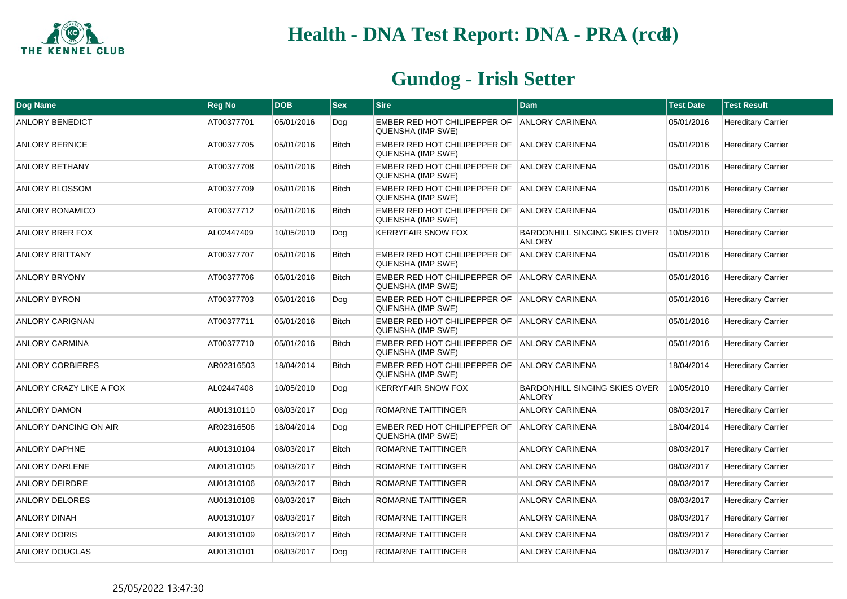

| Dog Name                | <b>Reg No</b> | <b>DOB</b> | <b>Sex</b>   | <b>Sire</b>                                                       | <b>Dam</b>                                            | <b>Test Date</b> | <b>Test Result</b>        |
|-------------------------|---------------|------------|--------------|-------------------------------------------------------------------|-------------------------------------------------------|------------------|---------------------------|
| <b>ANLORY BENEDICT</b>  | AT00377701    | 05/01/2016 | Dog          | EMBER RED HOT CHILIPEPPER OF<br>QUENSHA (IMP SWE)                 | <b>ANLORY CARINENA</b>                                | 05/01/2016       | <b>Hereditary Carrier</b> |
| <b>ANLORY BERNICE</b>   | AT00377705    | 05/01/2016 | <b>Bitch</b> | EMBER RED HOT CHILIPEPPER OF ANLORY CARINENA<br>QUENSHA (IMP SWE) |                                                       | 05/01/2016       | <b>Hereditary Carrier</b> |
| <b>ANLORY BETHANY</b>   | AT00377708    | 05/01/2016 | <b>Bitch</b> | EMBER RED HOT CHILIPEPPER OF ANLORY CARINENA<br>QUENSHA (IMP SWE) |                                                       | 05/01/2016       | <b>Hereditary Carrier</b> |
| ANLORY BLOSSOM          | AT00377709    | 05/01/2016 | <b>Bitch</b> | EMBER RED HOT CHILIPEPPER OF<br>QUENSHA (IMP SWE)                 | <b>ANLORY CARINENA</b>                                | 05/01/2016       | <b>Hereditary Carrier</b> |
| ANLORY BONAMICO         | AT00377712    | 05/01/2016 | <b>Bitch</b> | EMBER RED HOT CHILIPEPPER OF<br><b>QUENSHA (IMP SWE)</b>          | ANLORY CARINENA                                       | 05/01/2016       | <b>Hereditary Carrier</b> |
| <b>ANLORY BRER FOX</b>  | AL02447409    | 10/05/2010 | Dog          | <b>KERRYFAIR SNOW FOX</b>                                         | <b>BARDONHILL SINGING SKIES OVER</b><br><b>ANLORY</b> | 10/05/2010       | <b>Hereditary Carrier</b> |
| <b>ANLORY BRITTANY</b>  | AT00377707    | 05/01/2016 | <b>Bitch</b> | EMBER RED HOT CHILIPEPPER OF<br>QUENSHA (IMP SWE)                 | <b>ANLORY CARINENA</b>                                | 05/01/2016       | <b>Hereditary Carrier</b> |
| <b>ANLORY BRYONY</b>    | AT00377706    | 05/01/2016 | <b>Bitch</b> | EMBER RED HOT CHILIPEPPER OF<br>QUENSHA (IMP SWE)                 | <b>ANLORY CARINENA</b>                                | 05/01/2016       | <b>Hereditary Carrier</b> |
| <b>ANLORY BYRON</b>     | AT00377703    | 05/01/2016 | Dog          | EMBER RED HOT CHILIPEPPER OF<br>QUENSHA (IMP SWE)                 | ANLORY CARINENA                                       | 05/01/2016       | <b>Hereditary Carrier</b> |
| <b>ANLORY CARIGNAN</b>  | AT00377711    | 05/01/2016 | <b>Bitch</b> | EMBER RED HOT CHILIPEPPER OF<br>QUENSHA (IMP SWE)                 | <b>ANLORY CARINENA</b>                                | 05/01/2016       | <b>Hereditary Carrier</b> |
| <b>ANLORY CARMINA</b>   | AT00377710    | 05/01/2016 | <b>Bitch</b> | EMBER RED HOT CHILIPEPPER OF<br>QUENSHA (IMP SWE)                 | <b>ANLORY CARINENA</b>                                | 05/01/2016       | <b>Hereditary Carrier</b> |
| <b>ANLORY CORBIERES</b> | AR02316503    | 18/04/2014 | <b>Bitch</b> | EMBER RED HOT CHILIPEPPER OF<br>QUENSHA (IMP SWE)                 | <b>ANLORY CARINENA</b>                                | 18/04/2014       | <b>Hereditary Carrier</b> |
| ANLORY CRAZY LIKE A FOX | AL02447408    | 10/05/2010 | Dog          | <b>KERRYFAIR SNOW FOX</b>                                         | BARDONHILL SINGING SKIES OVER<br><b>ANLORY</b>        | 10/05/2010       | <b>Hereditary Carrier</b> |
| <b>ANLORY DAMON</b>     | AU01310110    | 08/03/2017 | Dog          | ROMARNE TAITTINGER                                                | <b>ANLORY CARINENA</b>                                | 08/03/2017       | <b>Hereditary Carrier</b> |
| ANLORY DANCING ON AIR   | AR02316506    | 18/04/2014 | Dog          | EMBER RED HOT CHILIPEPPER OF<br>QUENSHA (IMP SWE)                 | <b>ANLORY CARINENA</b>                                | 18/04/2014       | <b>Hereditary Carrier</b> |
| <b>ANLORY DAPHNE</b>    | AU01310104    | 08/03/2017 | <b>Bitch</b> | ROMARNE TAITTINGER                                                | <b>ANLORY CARINENA</b>                                | 08/03/2017       | <b>Hereditary Carrier</b> |
| <b>ANLORY DARLENE</b>   | AU01310105    | 08/03/2017 | <b>Bitch</b> | ROMARNE TAITTINGER                                                | <b>ANLORY CARINENA</b>                                | 08/03/2017       | <b>Hereditary Carrier</b> |
| <b>ANLORY DEIRDRE</b>   | AU01310106    | 08/03/2017 | <b>Bitch</b> | ROMARNE TAITTINGER                                                | <b>ANLORY CARINENA</b>                                | 08/03/2017       | <b>Hereditary Carrier</b> |
| ANLORY DELORES          | AU01310108    | 08/03/2017 | Bitch        | ROMARNE TAITTINGER                                                | <b>ANLORY CARINENA</b>                                | 08/03/2017       | <b>Hereditary Carrier</b> |
| <b>ANLORY DINAH</b>     | AU01310107    | 08/03/2017 | <b>Bitch</b> | ROMARNE TAITTINGER                                                | <b>ANLORY CARINENA</b>                                | 08/03/2017       | <b>Hereditary Carrier</b> |
| <b>ANLORY DORIS</b>     | AU01310109    | 08/03/2017 | <b>Bitch</b> | ROMARNE TAITTINGER                                                | <b>ANLORY CARINENA</b>                                | 08/03/2017       | <b>Hereditary Carrier</b> |
| ANLORY DOUGLAS          | AU01310101    | 08/03/2017 | Dog          | ROMARNE TAITTINGER                                                | ANLORY CARINENA                                       | 08/03/2017       | <b>Hereditary Carrier</b> |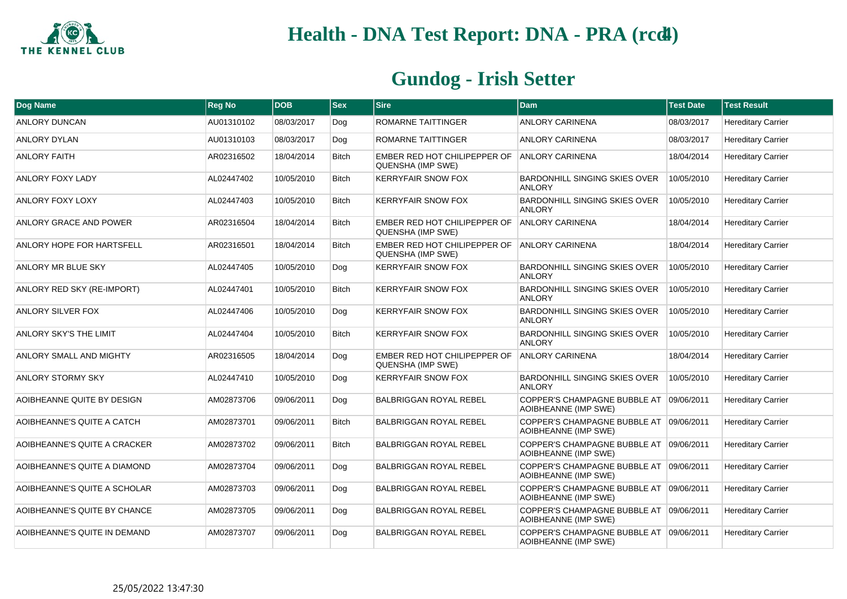

| Dog Name                     | <b>Reg No</b> | <b>DOB</b> | $ $ Sex      | <b>Sire</b>                                       | l Dam                                                           | <b>Test Date</b> | <b>Test Result</b>        |
|------------------------------|---------------|------------|--------------|---------------------------------------------------|-----------------------------------------------------------------|------------------|---------------------------|
| <b>ANLORY DUNCAN</b>         | AU01310102    | 08/03/2017 | Dog          | <b>ROMARNE TAITTINGER</b>                         | <b>ANLORY CARINENA</b>                                          | 08/03/2017       | <b>Hereditary Carrier</b> |
| <b>ANLORY DYLAN</b>          | AU01310103    | 08/03/2017 | Dog          | ROMARNE TAITTINGER                                | <b>ANLORY CARINENA</b>                                          | 08/03/2017       | <b>Hereditary Carrier</b> |
| <b>ANLORY FAITH</b>          | AR02316502    | 18/04/2014 | <b>Bitch</b> | EMBER RED HOT CHILIPEPPER OF<br>QUENSHA (IMP SWE) | <b>ANLORY CARINENA</b>                                          | 18/04/2014       | <b>Hereditary Carrier</b> |
| <b>ANLORY FOXY LADY</b>      | AL02447402    | 10/05/2010 | <b>Bitch</b> | <b>KERRYFAIR SNOW FOX</b>                         | <b>BARDONHILL SINGING SKIES OVER</b><br><b>ANLORY</b>           | 10/05/2010       | <b>Hereditary Carrier</b> |
| <b>ANLORY FOXY LOXY</b>      | AL02447403    | 10/05/2010 | <b>Bitch</b> | <b>KERRYFAIR SNOW FOX</b>                         | <b>BARDONHILL SINGING SKIES OVER</b><br><b>ANLORY</b>           | 10/05/2010       | <b>Hereditary Carrier</b> |
| ANLORY GRACE AND POWER       | AR02316504    | 18/04/2014 | <b>Bitch</b> | EMBER RED HOT CHILIPEPPER OF<br>QUENSHA (IMP SWE) | <b>ANLORY CARINENA</b>                                          | 18/04/2014       | <b>Hereditary Carrier</b> |
| ANLORY HOPE FOR HARTSFELL    | AR02316501    | 18/04/2014 | <b>Bitch</b> | EMBER RED HOT CHILIPEPPER OF<br>QUENSHA (IMP SWE) | <b>ANLORY CARINENA</b>                                          | 18/04/2014       | <b>Hereditary Carrier</b> |
| ANLORY MR BLUE SKY           | AL02447405    | 10/05/2010 | Dog          | <b>KERRYFAIR SNOW FOX</b>                         | <b>BARDONHILL SINGING SKIES OVER</b><br><b>ANLORY</b>           | 10/05/2010       | <b>Hereditary Carrier</b> |
| ANLORY RED SKY (RE-IMPORT)   | AL02447401    | 10/05/2010 | <b>Bitch</b> | <b>KERRYFAIR SNOW FOX</b>                         | BARDONHILL SINGING SKIES OVER<br><b>ANLORY</b>                  | 10/05/2010       | <b>Hereditary Carrier</b> |
| <b>ANLORY SILVER FOX</b>     | AL02447406    | 10/05/2010 | Dog          | <b>KERRYFAIR SNOW FOX</b>                         | BARDONHILL SINGING SKIES OVER<br><b>ANLORY</b>                  | 10/05/2010       | <b>Hereditary Carrier</b> |
| ANLORY SKY'S THE LIMIT       | AL02447404    | 10/05/2010 | <b>Bitch</b> | <b>KERRYFAIR SNOW FOX</b>                         | <b>BARDONHILL SINGING SKIES OVER</b><br><b>ANLORY</b>           | 10/05/2010       | <b>Hereditary Carrier</b> |
| ANLORY SMALL AND MIGHTY      | AR02316505    | 18/04/2014 | Dog          | EMBER RED HOT CHILIPEPPER OF<br>QUENSHA (IMP SWE) | <b>ANLORY CARINENA</b>                                          | 18/04/2014       | <b>Hereditary Carrier</b> |
| <b>ANLORY STORMY SKY</b>     | AL02447410    | 10/05/2010 | Dog          | <b>KERRYFAIR SNOW FOX</b>                         | <b>BARDONHILL SINGING SKIES OVER</b><br><b>ANLORY</b>           | 10/05/2010       | <b>Hereditary Carrier</b> |
| AOIBHEANNE QUITE BY DESIGN   | AM02873706    | 09/06/2011 | Dog          | <b>BALBRIGGAN ROYAL REBEL</b>                     | COPPER'S CHAMPAGNE BUBBLE AT 09/06/2011<br>AOIBHEANNE (IMP SWE) |                  | <b>Hereditary Carrier</b> |
| AOIBHEANNE'S QUITE A CATCH   | AM02873701    | 09/06/2011 | <b>Bitch</b> | <b>BALBRIGGAN ROYAL REBEL</b>                     | COPPER'S CHAMPAGNE BUBBLE AT<br>AOIBHEANNE (IMP SWE)            | 09/06/2011       | <b>Hereditary Carrier</b> |
| AOIBHEANNE'S QUITE A CRACKER | AM02873702    | 09/06/2011 | <b>Bitch</b> | <b>BALBRIGGAN ROYAL REBEL</b>                     | COPPER'S CHAMPAGNE BUBBLE AT<br>AOIBHEANNE (IMP SWE)            | 09/06/2011       | <b>Hereditary Carrier</b> |
| AOIBHEANNE'S QUITE A DIAMOND | AM02873704    | 09/06/2011 | Dog          | <b>BALBRIGGAN ROYAL REBEL</b>                     | COPPER'S CHAMPAGNE BUBBLE AT 09/06/2011<br>AOIBHEANNE (IMP SWE) |                  | <b>Hereditary Carrier</b> |
| AOIBHEANNE'S QUITE A SCHOLAR | AM02873703    | 09/06/2011 | Dog          | <b>BALBRIGGAN ROYAL REBEL</b>                     | COPPER'S CHAMPAGNE BUBBLE AT 09/06/2011<br>AOIBHEANNE (IMP SWE) |                  | <b>Hereditary Carrier</b> |
| AOIBHEANNE'S QUITE BY CHANCE | AM02873705    | 09/06/2011 | Dog          | <b>BALBRIGGAN ROYAL REBEL</b>                     | COPPER'S CHAMPAGNE BUBBLE AT 09/06/2011<br>AOIBHEANNE (IMP SWE) |                  | <b>Hereditary Carrier</b> |
| AOIBHEANNE'S QUITE IN DEMAND | AM02873707    | 09/06/2011 | Dog          | <b>BALBRIGGAN ROYAL REBEL</b>                     | COPPER'S CHAMPAGNE BUBBLE AT 09/06/2011<br>AOIBHEANNE (IMP SWE) |                  | <b>Hereditary Carrier</b> |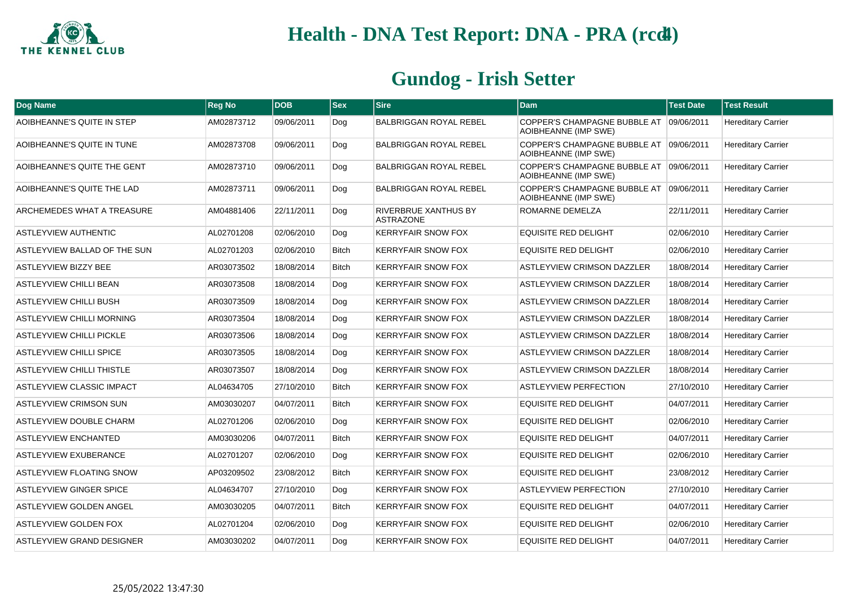

| <b>Dog Name</b>                  | <b>Reg No</b> | <b>DOB</b> | $ $ Sex      | <b>Sire</b>                                     | Dam                                                             | <b>Test Date</b> | <b>Test Result</b>        |
|----------------------------------|---------------|------------|--------------|-------------------------------------------------|-----------------------------------------------------------------|------------------|---------------------------|
| AOIBHEANNE'S QUITE IN STEP       | AM02873712    | 09/06/2011 | Dog          | <b>BALBRIGGAN ROYAL REBEL</b>                   | COPPER'S CHAMPAGNE BUBBLE AT 09/06/2011<br>AOIBHEANNE (IMP SWE) |                  | <b>Hereditary Carrier</b> |
| AOIBHEANNE'S QUITE IN TUNE       | AM02873708    | 09/06/2011 | Dog          | <b>BALBRIGGAN ROYAL REBEL</b>                   | COPPER'S CHAMPAGNE BUBBLE AT 09/06/2011<br>AOIBHEANNE (IMP SWE) |                  | <b>Hereditary Carrier</b> |
| AOIBHEANNE'S QUITE THE GENT      | AM02873710    | 09/06/2011 | Dog          | <b>BALBRIGGAN ROYAL REBEL</b>                   | COPPER'S CHAMPAGNE BUBBLE AT 09/06/2011<br>AOIBHEANNE (IMP SWE) |                  | <b>Hereditary Carrier</b> |
| AOIBHEANNE'S QUITE THE LAD       | AM02873711    | 09/06/2011 | Dog          | <b>BALBRIGGAN ROYAL REBEL</b>                   | COPPER'S CHAMPAGNE BUBBLE AT 09/06/2011<br>AOIBHEANNE (IMP SWE) |                  | <b>Hereditary Carrier</b> |
| ARCHEMEDES WHAT A TREASURE       | AM04881406    | 22/11/2011 | Dog          | <b>RIVERBRUE XANTHUS BY</b><br><b>ASTRAZONE</b> | ROMARNE DEMELZA                                                 | 22/11/2011       | <b>Hereditary Carrier</b> |
| <b>ASTLEYVIEW AUTHENTIC</b>      | AL02701208    | 02/06/2010 | Dog          | <b>KERRYFAIR SNOW FOX</b>                       | <b>EQUISITE RED DELIGHT</b>                                     | 02/06/2010       | <b>Hereditary Carrier</b> |
| ASTLEYVIEW BALLAD OF THE SUN     | AL02701203    | 02/06/2010 | <b>Bitch</b> | <b>KERRYFAIR SNOW FOX</b>                       | <b>EQUISITE RED DELIGHT</b>                                     | 02/06/2010       | <b>Hereditary Carrier</b> |
| <b>ASTLEYVIEW BIZZY BEE</b>      | AR03073502    | 18/08/2014 | <b>Bitch</b> | <b>KERRYFAIR SNOW FOX</b>                       | <b>ASTLEYVIEW CRIMSON DAZZLER</b>                               | 18/08/2014       | <b>Hereditary Carrier</b> |
| <b>ASTLEYVIEW CHILLI BEAN</b>    | AR03073508    | 18/08/2014 | Doq          | <b>KERRYFAIR SNOW FOX</b>                       | ASTLEYVIEW CRIMSON DAZZLER                                      | 18/08/2014       | <b>Hereditary Carrier</b> |
| <b>ASTLEYVIEW CHILLI BUSH</b>    | AR03073509    | 18/08/2014 | Dog          | <b>KERRYFAIR SNOW FOX</b>                       | <b>ASTLEYVIEW CRIMSON DAZZLER</b>                               | 18/08/2014       | <b>Hereditary Carrier</b> |
| ASTLEYVIEW CHILLI MORNING        | AR03073504    | 18/08/2014 | Dog          | <b>KERRYFAIR SNOW FOX</b>                       | <b>ASTLEYVIEW CRIMSON DAZZLER</b>                               | 18/08/2014       | <b>Hereditary Carrier</b> |
| ASTLEYVIEW CHILLI PICKLE         | AR03073506    | 18/08/2014 | Dog          | <b>KERRYFAIR SNOW FOX</b>                       | ASTLEYVIEW CRIMSON DAZZLER                                      | 18/08/2014       | <b>Hereditary Carrier</b> |
| <b>ASTLEYVIEW CHILLI SPICE</b>   | AR03073505    | 18/08/2014 | Dog          | <b>KERRYFAIR SNOW FOX</b>                       | ASTLEYVIEW CRIMSON DAZZLER                                      | 18/08/2014       | <b>Hereditary Carrier</b> |
| <b>ASTLEYVIEW CHILLI THISTLE</b> | AR03073507    | 18/08/2014 | Dog          | <b>KERRYFAIR SNOW FOX</b>                       | <b>ASTLEYVIEW CRIMSON DAZZLER</b>                               | 18/08/2014       | <b>Hereditary Carrier</b> |
| ASTLEYVIEW CLASSIC IMPACT        | AL04634705    | 27/10/2010 | <b>Bitch</b> | <b>KERRYFAIR SNOW FOX</b>                       | <b>ASTLEYVIEW PERFECTION</b>                                    | 27/10/2010       | <b>Hereditary Carrier</b> |
| <b>ASTLEYVIEW CRIMSON SUN</b>    | AM03030207    | 04/07/2011 | Bitch        | <b>KERRYFAIR SNOW FOX</b>                       | <b>EQUISITE RED DELIGHT</b>                                     | 04/07/2011       | <b>Hereditary Carrier</b> |
| ASTLEYVIEW DOUBLE CHARM          | AL02701206    | 02/06/2010 | Dog          | <b>KERRYFAIR SNOW FOX</b>                       | <b>EQUISITE RED DELIGHT</b>                                     | 02/06/2010       | <b>Hereditary Carrier</b> |
| <b>ASTLEYVIEW ENCHANTED</b>      | AM03030206    | 04/07/2011 | Bitch        | <b>KERRYFAIR SNOW FOX</b>                       | <b>EQUISITE RED DELIGHT</b>                                     | 04/07/2011       | <b>Hereditary Carrier</b> |
| ASTLEYVIEW EXUBERANCE            | AL02701207    | 02/06/2010 | Dog          | <b>KERRYFAIR SNOW FOX</b>                       | <b>EQUISITE RED DELIGHT</b>                                     | 02/06/2010       | <b>Hereditary Carrier</b> |
| ASTLEYVIEW FLOATING SNOW         | AP03209502    | 23/08/2012 | Bitch        | <b>KERRYFAIR SNOW FOX</b>                       | <b>EQUISITE RED DELIGHT</b>                                     | 23/08/2012       | <b>Hereditary Carrier</b> |
| <b>ASTLEYVIEW GINGER SPICE</b>   | AL04634707    | 27/10/2010 | Dog          | <b>KERRYFAIR SNOW FOX</b>                       | <b>ASTLEYVIEW PERFECTION</b>                                    | 27/10/2010       | <b>Hereditary Carrier</b> |
| ASTLEYVIEW GOLDEN ANGEL          | AM03030205    | 04/07/2011 | <b>Bitch</b> | <b>KERRYFAIR SNOW FOX</b>                       | <b>EQUISITE RED DELIGHT</b>                                     | 04/07/2011       | <b>Hereditary Carrier</b> |
| ASTLEYVIEW GOLDEN FOX            | AL02701204    | 02/06/2010 | Dog          | <b>KERRYFAIR SNOW FOX</b>                       | <b>EQUISITE RED DELIGHT</b>                                     | 02/06/2010       | <b>Hereditary Carrier</b> |
| ASTLEYVIEW GRAND DESIGNER        | AM03030202    | 04/07/2011 | Dog          | <b>KERRYFAIR SNOW FOX</b>                       | <b>EQUISITE RED DELIGHT</b>                                     | 04/07/2011       | <b>Hereditary Carrier</b> |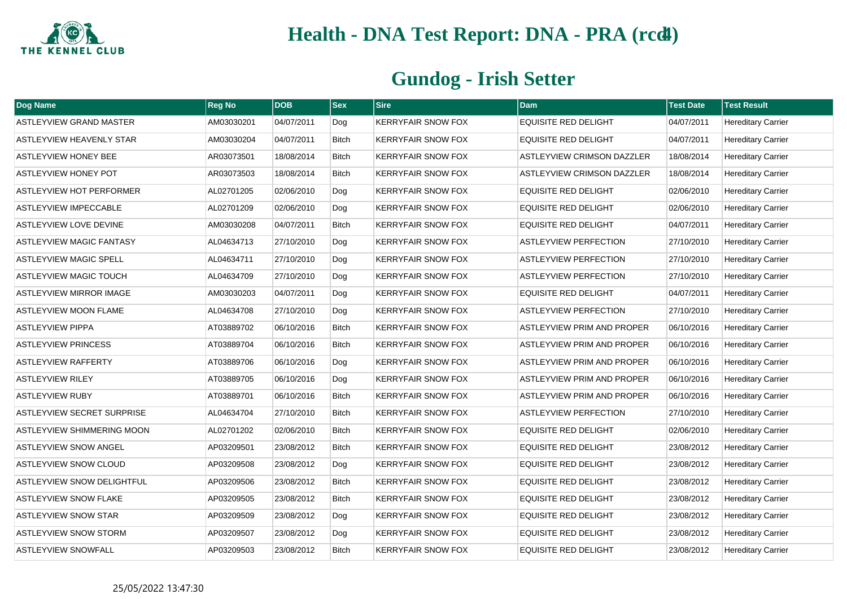

| <b>Dog Name</b>                   | <b>Reg No</b> | <b>DOB</b> | <b>Sex</b>   | <b>Sire</b>               | <b>Dam</b>                        | <b>Test Date</b> | <b>Test Result</b>        |
|-----------------------------------|---------------|------------|--------------|---------------------------|-----------------------------------|------------------|---------------------------|
| <b>ASTLEYVIEW GRAND MASTER</b>    | AM03030201    | 04/07/2011 | Dog          | <b>KERRYFAIR SNOW FOX</b> | <b>EQUISITE RED DELIGHT</b>       | 04/07/2011       | <b>Hereditary Carrier</b> |
| ASTLEYVIEW HEAVENLY STAR          | AM03030204    | 04/07/2011 | <b>Bitch</b> | <b>KERRYFAIR SNOW FOX</b> | <b>EQUISITE RED DELIGHT</b>       | 04/07/2011       | <b>Hereditary Carrier</b> |
| <b>ASTLEYVIEW HONEY BEE</b>       | AR03073501    | 18/08/2014 | <b>Bitch</b> | <b>KERRYFAIR SNOW FOX</b> | <b>ASTLEYVIEW CRIMSON DAZZLER</b> | 18/08/2014       | <b>Hereditary Carrier</b> |
| <b>ASTLEYVIEW HONEY POT</b>       | AR03073503    | 18/08/2014 | Bitch        | <b>KERRYFAIR SNOW FOX</b> | <b>ASTLEYVIEW CRIMSON DAZZLER</b> | 18/08/2014       | <b>Hereditary Carrier</b> |
| <b>ASTLEYVIEW HOT PERFORMER</b>   | AL02701205    | 02/06/2010 | Dog          | <b>KERRYFAIR SNOW FOX</b> | <b>EQUISITE RED DELIGHT</b>       | 02/06/2010       | <b>Hereditary Carrier</b> |
| <b>ASTLEYVIEW IMPECCABLE</b>      | AL02701209    | 02/06/2010 | Dog          | <b>KERRYFAIR SNOW FOX</b> | <b>EQUISITE RED DELIGHT</b>       | 02/06/2010       | <b>Hereditary Carrier</b> |
| <b>ASTLEYVIEW LOVE DEVINE</b>     | AM03030208    | 04/07/2011 | <b>Bitch</b> | <b>KERRYFAIR SNOW FOX</b> | <b>EQUISITE RED DELIGHT</b>       | 04/07/2011       | <b>Hereditary Carrier</b> |
| ASTLEYVIEW MAGIC FANTASY          | AL04634713    | 27/10/2010 | Dog          | <b>KERRYFAIR SNOW FOX</b> | <b>ASTLEYVIEW PERFECTION</b>      | 27/10/2010       | <b>Hereditary Carrier</b> |
| <b>ASTLEYVIEW MAGIC SPELL</b>     | AL04634711    | 27/10/2010 | Dog          | <b>KERRYFAIR SNOW FOX</b> | <b>ASTLEYVIEW PERFECTION</b>      | 27/10/2010       | <b>Hereditary Carrier</b> |
| <b>ASTLEYVIEW MAGIC TOUCH</b>     | AL04634709    | 27/10/2010 | Dog          | <b>KERRYFAIR SNOW FOX</b> | <b>ASTLEYVIEW PERFECTION</b>      | 27/10/2010       | <b>Hereditary Carrier</b> |
| ASTLEYVIEW MIRROR IMAGE           | AM03030203    | 04/07/2011 | Dog          | <b>KERRYFAIR SNOW FOX</b> | EQUISITE RED DELIGHT              | 04/07/2011       | <b>Hereditary Carrier</b> |
| <b>ASTLEYVIEW MOON FLAME</b>      | AL04634708    | 27/10/2010 | Dog          | <b>KERRYFAIR SNOW FOX</b> | <b>ASTLEYVIEW PERFECTION</b>      | 27/10/2010       | <b>Hereditary Carrier</b> |
| <b>ASTLEYVIEW PIPPA</b>           | AT03889702    | 06/10/2016 | <b>Bitch</b> | <b>KERRYFAIR SNOW FOX</b> | <b>ASTLEYVIEW PRIM AND PROPER</b> | 06/10/2016       | <b>Hereditary Carrier</b> |
| <b>ASTLEYVIEW PRINCESS</b>        | AT03889704    | 06/10/2016 | <b>Bitch</b> | <b>KERRYFAIR SNOW FOX</b> | <b>ASTLEYVIEW PRIM AND PROPER</b> | 06/10/2016       | <b>Hereditary Carrier</b> |
| <b>ASTLEYVIEW RAFFERTY</b>        | AT03889706    | 06/10/2016 | Dog          | <b>KERRYFAIR SNOW FOX</b> | ASTLEYVIEW PRIM AND PROPER        | 06/10/2016       | <b>Hereditary Carrier</b> |
| <b>ASTLEYVIEW RILEY</b>           | AT03889705    | 06/10/2016 | Dog          | <b>KERRYFAIR SNOW FOX</b> | ASTLEYVIEW PRIM AND PROPER        | 06/10/2016       | <b>Hereditary Carrier</b> |
| <b>ASTLEYVIEW RUBY</b>            | AT03889701    | 06/10/2016 | <b>Bitch</b> | <b>KERRYFAIR SNOW FOX</b> | <b>ASTLEYVIEW PRIM AND PROPER</b> | 06/10/2016       | <b>Hereditary Carrier</b> |
| <b>ASTLEYVIEW SECRET SURPRISE</b> | AL04634704    | 27/10/2010 | Bitch        | <b>KERRYFAIR SNOW FOX</b> | <b>ASTLEYVIEW PERFECTION</b>      | 27/10/2010       | <b>Hereditary Carrier</b> |
| <b>ASTLEYVIEW SHIMMERING MOON</b> | AL02701202    | 02/06/2010 | Bitch        | <b>KERRYFAIR SNOW FOX</b> | <b>EQUISITE RED DELIGHT</b>       | 02/06/2010       | <b>Hereditary Carrier</b> |
| <b>ASTLEYVIEW SNOW ANGEL</b>      | AP03209501    | 23/08/2012 | <b>Bitch</b> | <b>KERRYFAIR SNOW FOX</b> | <b>EQUISITE RED DELIGHT</b>       | 23/08/2012       | <b>Hereditary Carrier</b> |
| <b>ASTLEYVIEW SNOW CLOUD</b>      | AP03209508    | 23/08/2012 | Dog          | <b>KERRYFAIR SNOW FOX</b> | <b>EQUISITE RED DELIGHT</b>       | 23/08/2012       | <b>Hereditary Carrier</b> |
| ASTLEYVIEW SNOW DELIGHTFUL        | AP03209506    | 23/08/2012 | <b>Bitch</b> | <b>KERRYFAIR SNOW FOX</b> | <b>EQUISITE RED DELIGHT</b>       | 23/08/2012       | <b>Hereditary Carrier</b> |
| <b>ASTLEYVIEW SNOW FLAKE</b>      | AP03209505    | 23/08/2012 | Bitch        | <b>KERRYFAIR SNOW FOX</b> | <b>EQUISITE RED DELIGHT</b>       | 23/08/2012       | <b>Hereditary Carrier</b> |
| <b>ASTLEYVIEW SNOW STAR</b>       | AP03209509    | 23/08/2012 | Dog          | <b>KERRYFAIR SNOW FOX</b> | <b>EQUISITE RED DELIGHT</b>       | 23/08/2012       | <b>Hereditary Carrier</b> |
| <b>ASTLEYVIEW SNOW STORM</b>      | AP03209507    | 23/08/2012 | Dog          | <b>KERRYFAIR SNOW FOX</b> | <b>EQUISITE RED DELIGHT</b>       | 23/08/2012       | <b>Hereditary Carrier</b> |
| <b>ASTLEYVIEW SNOWFALL</b>        | AP03209503    | 23/08/2012 | <b>Bitch</b> | <b>KERRYFAIR SNOW FOX</b> | <b>EQUISITE RED DELIGHT</b>       | 23/08/2012       | <b>Hereditary Carrier</b> |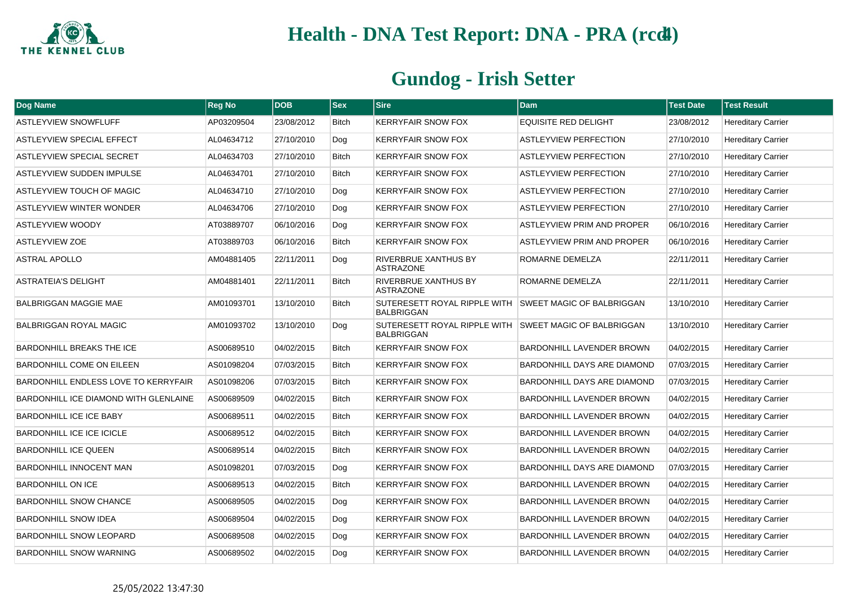

| Dog Name                                     | Reg No     | <b>DOB</b> | $ $ Sex      | <b>Sire</b>                                       | <b>Dam</b>                         | <b>Test Date</b> | <b>Test Result</b>        |
|----------------------------------------------|------------|------------|--------------|---------------------------------------------------|------------------------------------|------------------|---------------------------|
| <b>ASTLEYVIEW SNOWFLUFF</b>                  | AP03209504 | 23/08/2012 | <b>Bitch</b> | <b>KERRYFAIR SNOW FOX</b>                         | EQUISITE RED DELIGHT               | 23/08/2012       | <b>Hereditary Carrier</b> |
| ASTLEYVIEW SPECIAL EFFECT                    | AL04634712 | 27/10/2010 | Dog          | <b>KERRYFAIR SNOW FOX</b>                         | <b>ASTLEYVIEW PERFECTION</b>       | 27/10/2010       | <b>Hereditary Carrier</b> |
| ASTLEYVIEW SPECIAL SECRET                    | AL04634703 | 27/10/2010 | Bitch        | <b>KERRYFAIR SNOW FOX</b>                         | <b>ASTLEYVIEW PERFECTION</b>       | 27/10/2010       | <b>Hereditary Carrier</b> |
| <b>ASTLEYVIEW SUDDEN IMPULSE</b>             | AL04634701 | 27/10/2010 | Bitch        | <b>KERRYFAIR SNOW FOX</b>                         | <b>ASTLEYVIEW PERFECTION</b>       | 27/10/2010       | <b>Hereditary Carrier</b> |
| ASTLEYVIEW TOUCH OF MAGIC                    | AL04634710 | 27/10/2010 | Dog          | <b>KERRYFAIR SNOW FOX</b>                         | <b>ASTLEYVIEW PERFECTION</b>       | 27/10/2010       | <b>Hereditary Carrier</b> |
| <b>ASTLEYVIEW WINTER WONDER</b>              | AL04634706 | 27/10/2010 | Dog          | <b>KERRYFAIR SNOW FOX</b>                         | <b>ASTLEYVIEW PERFECTION</b>       | 27/10/2010       | <b>Hereditary Carrier</b> |
| <b>ASTLEYVIEW WOODY</b>                      | AT03889707 | 06/10/2016 | Dog          | <b>KERRYFAIR SNOW FOX</b>                         | <b>ASTLEYVIEW PRIM AND PROPER</b>  | 06/10/2016       | <b>Hereditary Carrier</b> |
| <b>ASTLEYVIEW ZOE</b>                        | AT03889703 | 06/10/2016 | Bitch        | <b>KERRYFAIR SNOW FOX</b>                         | <b>ASTLEYVIEW PRIM AND PROPER</b>  | 06/10/2016       | <b>Hereditary Carrier</b> |
| <b>ASTRAL APOLLO</b>                         | AM04881405 | 22/11/2011 | Dog          | <b>RIVERBRUE XANTHUS BY</b><br><b>ASTRAZONE</b>   | ROMARNE DEMELZA                    | 22/11/2011       | <b>Hereditary Carrier</b> |
| <b>ASTRATEIA'S DELIGHT</b>                   | AM04881401 | 22/11/2011 | <b>Bitch</b> | RIVERBRUE XANTHUS BY<br><b>ASTRAZONE</b>          | ROMARNE DEMELZA                    | 22/11/2011       | <b>Hereditary Carrier</b> |
| <b>BALBRIGGAN MAGGIE MAE</b>                 | AM01093701 | 13/10/2010 | Bitch        | SUTERESETT ROYAL RIPPLE WITH<br><b>BALBRIGGAN</b> | <b>SWEET MAGIC OF BALBRIGGAN</b>   | 13/10/2010       | <b>Hereditary Carrier</b> |
| <b>BALBRIGGAN ROYAL MAGIC</b>                | AM01093702 | 13/10/2010 | Dog          | SUTERESETT ROYAL RIPPLE WITH<br><b>BALBRIGGAN</b> | <b>SWEET MAGIC OF BALBRIGGAN</b>   | 13/10/2010       | <b>Hereditary Carrier</b> |
| <b>BARDONHILL BREAKS THE ICE</b>             | AS00689510 | 04/02/2015 | <b>Bitch</b> | <b>KERRYFAIR SNOW FOX</b>                         | BARDONHILL LAVENDER BROWN          | 04/02/2015       | <b>Hereditary Carrier</b> |
| <b>BARDONHILL COME ON EILEEN</b>             | AS01098204 | 07/03/2015 | <b>Bitch</b> | <b>KERRYFAIR SNOW FOX</b>                         | <b>BARDONHILL DAYS ARE DIAMOND</b> | 07/03/2015       | <b>Hereditary Carrier</b> |
| BARDONHILL ENDLESS LOVE TO KERRYFAIR         | AS01098206 | 07/03/2015 | <b>Bitch</b> | <b>KERRYFAIR SNOW FOX</b>                         | <b>BARDONHILL DAYS ARE DIAMOND</b> | 07/03/2015       | <b>Hereditary Carrier</b> |
| <b>BARDONHILL ICE DIAMOND WITH GLENLAINE</b> | AS00689509 | 04/02/2015 | <b>Bitch</b> | <b>KERRYFAIR SNOW FOX</b>                         | <b>BARDONHILL LAVENDER BROWN</b>   | 04/02/2015       | <b>Hereditary Carrier</b> |
| <b>BARDONHILL ICE ICE BABY</b>               | AS00689511 | 04/02/2015 | Bitch        | <b>KERRYFAIR SNOW FOX</b>                         | <b>BARDONHILL LAVENDER BROWN</b>   | 04/02/2015       | <b>Hereditary Carrier</b> |
| <b>BARDONHILL ICE ICE ICICLE</b>             | AS00689512 | 04/02/2015 | <b>Bitch</b> | <b>KERRYFAIR SNOW FOX</b>                         | <b>BARDONHILL LAVENDER BROWN</b>   | 04/02/2015       | <b>Hereditary Carrier</b> |
| <b>BARDONHILL ICE QUEEN</b>                  | AS00689514 | 04/02/2015 | Bitch        | <b>KERRYFAIR SNOW FOX</b>                         | <b>BARDONHILL LAVENDER BROWN</b>   | 04/02/2015       | <b>Hereditary Carrier</b> |
| BARDONHILL INNOCENT MAN                      | AS01098201 | 07/03/2015 | Dog          | <b>KERRYFAIR SNOW FOX</b>                         | <b>BARDONHILL DAYS ARE DIAMOND</b> | 07/03/2015       | <b>Hereditary Carrier</b> |
| <b>BARDONHILL ON ICE</b>                     | AS00689513 | 04/02/2015 | <b>Bitch</b> | <b>KERRYFAIR SNOW FOX</b>                         | <b>BARDONHILL LAVENDER BROWN</b>   | 04/02/2015       | <b>Hereditary Carrier</b> |
| <b>BARDONHILL SNOW CHANCE</b>                | AS00689505 | 04/02/2015 | Dog          | <b>KERRYFAIR SNOW FOX</b>                         | <b>BARDONHILL LAVENDER BROWN</b>   | 04/02/2015       | <b>Hereditary Carrier</b> |
| <b>BARDONHILL SNOW IDEA</b>                  | AS00689504 | 04/02/2015 | Dog          | <b>KERRYFAIR SNOW FOX</b>                         | <b>BARDONHILL LAVENDER BROWN</b>   | 04/02/2015       | <b>Hereditary Carrier</b> |
| <b>BARDONHILL SNOW LEOPARD</b>               | AS00689508 | 04/02/2015 | Dog          | <b>KERRYFAIR SNOW FOX</b>                         | <b>BARDONHILL LAVENDER BROWN</b>   | 04/02/2015       | <b>Hereditary Carrier</b> |
| <b>BARDONHILL SNOW WARNING</b>               | AS00689502 | 04/02/2015 | Dog          | <b>KERRYFAIR SNOW FOX</b>                         | <b>BARDONHILL LAVENDER BROWN</b>   | 04/02/2015       | <b>Hereditary Carrier</b> |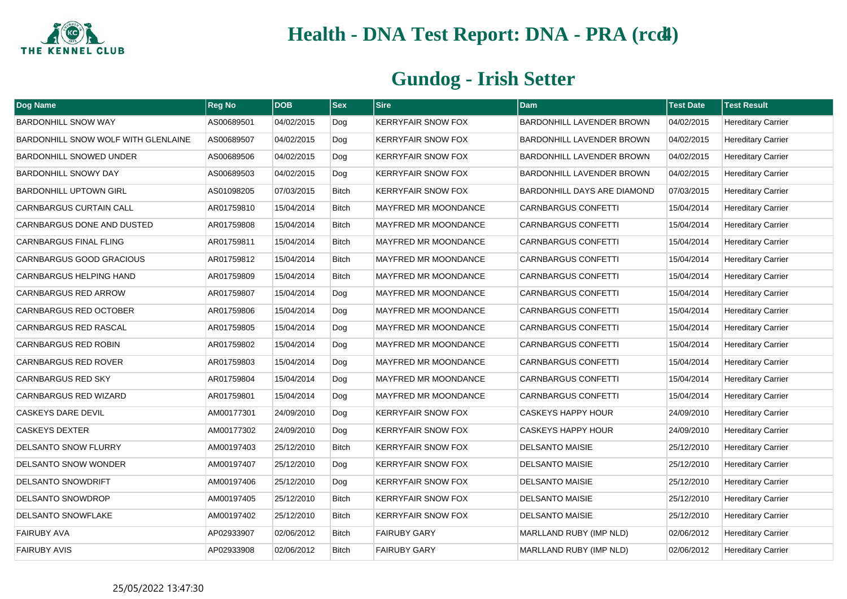

| Dog Name                            | Reg No     | <b>DOB</b> | <b>Sex</b>   | <b>Sire</b>                 | Dam                              | <b>Test Date</b> | <b>Test Result</b>        |
|-------------------------------------|------------|------------|--------------|-----------------------------|----------------------------------|------------------|---------------------------|
| <b>BARDONHILL SNOW WAY</b>          | AS00689501 | 04/02/2015 | Dog          | <b>KERRYFAIR SNOW FOX</b>   | BARDONHILL LAVENDER BROWN        | 04/02/2015       | <b>Hereditary Carrier</b> |
| BARDONHILL SNOW WOLF WITH GLENLAINE | AS00689507 | 04/02/2015 | Dog          | <b>KERRYFAIR SNOW FOX</b>   | <b>BARDONHILL LAVENDER BROWN</b> | 04/02/2015       | <b>Hereditary Carrier</b> |
| BARDONHILL SNOWED UNDER             | AS00689506 | 04/02/2015 | Dog          | <b>KERRYFAIR SNOW FOX</b>   | <b>BARDONHILL LAVENDER BROWN</b> | 04/02/2015       | <b>Hereditary Carrier</b> |
| <b>BARDONHILL SNOWY DAY</b>         | AS00689503 | 04/02/2015 | Dog          | <b>KERRYFAIR SNOW FOX</b>   | <b>BARDONHILL LAVENDER BROWN</b> | 04/02/2015       | <b>Hereditary Carrier</b> |
| <b>BARDONHILL UPTOWN GIRL</b>       | AS01098205 | 07/03/2015 | <b>Bitch</b> | <b>KERRYFAIR SNOW FOX</b>   | BARDONHILL DAYS ARE DIAMOND      | 07/03/2015       | <b>Hereditary Carrier</b> |
| <b>CARNBARGUS CURTAIN CALL</b>      | AR01759810 | 15/04/2014 | <b>Bitch</b> | MAYFRED MR MOONDANCE        | <b>CARNBARGUS CONFETTI</b>       | 15/04/2014       | <b>Hereditary Carrier</b> |
| CARNBARGUS DONE AND DUSTED          | AR01759808 | 15/04/2014 | <b>Bitch</b> | <b>MAYFRED MR MOONDANCE</b> | <b>CARNBARGUS CONFETTI</b>       | 15/04/2014       | <b>Hereditary Carrier</b> |
| <b>CARNBARGUS FINAL FLING</b>       | AR01759811 | 15/04/2014 | Bitch        | MAYFRED MR MOONDANCE        | <b>CARNBARGUS CONFETTI</b>       | 15/04/2014       | <b>Hereditary Carrier</b> |
| CARNBARGUS GOOD GRACIOUS            | AR01759812 | 15/04/2014 | Bitch        | <b>MAYFRED MR MOONDANCE</b> | <b>CARNBARGUS CONFETTI</b>       | 15/04/2014       | <b>Hereditary Carrier</b> |
| CARNBARGUS HELPING HAND             | AR01759809 | 15/04/2014 | <b>Bitch</b> | MAYFRED MR MOONDANCE        | <b>CARNBARGUS CONFETTI</b>       | 15/04/2014       | <b>Hereditary Carrier</b> |
| <b>CARNBARGUS RED ARROW</b>         | AR01759807 | 15/04/2014 | Dog          | <b>MAYFRED MR MOONDANCE</b> | <b>CARNBARGUS CONFETTI</b>       | 15/04/2014       | <b>Hereditary Carrier</b> |
| <b>CARNBARGUS RED OCTOBER</b>       | AR01759806 | 15/04/2014 | Dog          | <b>MAYFRED MR MOONDANCE</b> | <b>CARNBARGUS CONFETTI</b>       | 15/04/2014       | <b>Hereditary Carrier</b> |
| CARNBARGUS RED RASCAL               | AR01759805 | 15/04/2014 | Dog          | <b>MAYFRED MR MOONDANCE</b> | <b>CARNBARGUS CONFETTI</b>       | 15/04/2014       | <b>Hereditary Carrier</b> |
| <b>CARNBARGUS RED ROBIN</b>         | AR01759802 | 15/04/2014 | Dog          | <b>MAYFRED MR MOONDANCE</b> | <b>CARNBARGUS CONFETTI</b>       | 15/04/2014       | <b>Hereditary Carrier</b> |
| <b>CARNBARGUS RED ROVER</b>         | AR01759803 | 15/04/2014 | Dog          | MAYFRED MR MOONDANCE        | <b>CARNBARGUS CONFETTI</b>       | 15/04/2014       | <b>Hereditary Carrier</b> |
| <b>CARNBARGUS RED SKY</b>           | AR01759804 | 15/04/2014 | Dog          | <b>MAYFRED MR MOONDANCE</b> | <b>CARNBARGUS CONFETTI</b>       | 15/04/2014       | <b>Hereditary Carrier</b> |
| CARNBARGUS RED WIZARD               | AR01759801 | 15/04/2014 | Dog          | <b>MAYFRED MR MOONDANCE</b> | <b>CARNBARGUS CONFETTI</b>       | 15/04/2014       | <b>Hereditary Carrier</b> |
| CASKEYS DARE DEVIL                  | AM00177301 | 24/09/2010 | Dog          | <b>KERRYFAIR SNOW FOX</b>   | <b>CASKEYS HAPPY HOUR</b>        | 24/09/2010       | <b>Hereditary Carrier</b> |
| <b>CASKEYS DEXTER</b>               | AM00177302 | 24/09/2010 | Dog          | <b>KERRYFAIR SNOW FOX</b>   | <b>CASKEYS HAPPY HOUR</b>        | 24/09/2010       | <b>Hereditary Carrier</b> |
| <b>DELSANTO SNOW FLURRY</b>         | AM00197403 | 25/12/2010 | Bitch        | <b>KERRYFAIR SNOW FOX</b>   | <b>DELSANTO MAISIE</b>           | 25/12/2010       | <b>Hereditary Carrier</b> |
| DELSANTO SNOW WONDER                | AM00197407 | 25/12/2010 | Dog          | <b>KERRYFAIR SNOW FOX</b>   | <b>DELSANTO MAISIE</b>           | 25/12/2010       | <b>Hereditary Carrier</b> |
| <b>DELSANTO SNOWDRIFT</b>           | AM00197406 | 25/12/2010 | Dog          | <b>KERRYFAIR SNOW FOX</b>   | <b>DELSANTO MAISIE</b>           | 25/12/2010       | <b>Hereditary Carrier</b> |
| DELSANTO SNOWDROP                   | AM00197405 | 25/12/2010 | Bitch        | <b>KERRYFAIR SNOW FOX</b>   | <b>DELSANTO MAISIE</b>           | 25/12/2010       | <b>Hereditary Carrier</b> |
| <b>DELSANTO SNOWFLAKE</b>           | AM00197402 | 25/12/2010 | Bitch        | <b>KERRYFAIR SNOW FOX</b>   | <b>DELSANTO MAISIE</b>           | 25/12/2010       | <b>Hereditary Carrier</b> |
| <b>FAIRUBY AVA</b>                  | AP02933907 | 02/06/2012 | Bitch        | <b>FAIRUBY GARY</b>         | MARLLAND RUBY (IMP NLD)          | 02/06/2012       | <b>Hereditary Carrier</b> |
| <b>FAIRUBY AVIS</b>                 | AP02933908 | 02/06/2012 | <b>Bitch</b> | <b>FAIRUBY GARY</b>         | MARLLAND RUBY (IMP NLD)          | 02/06/2012       | <b>Hereditary Carrier</b> |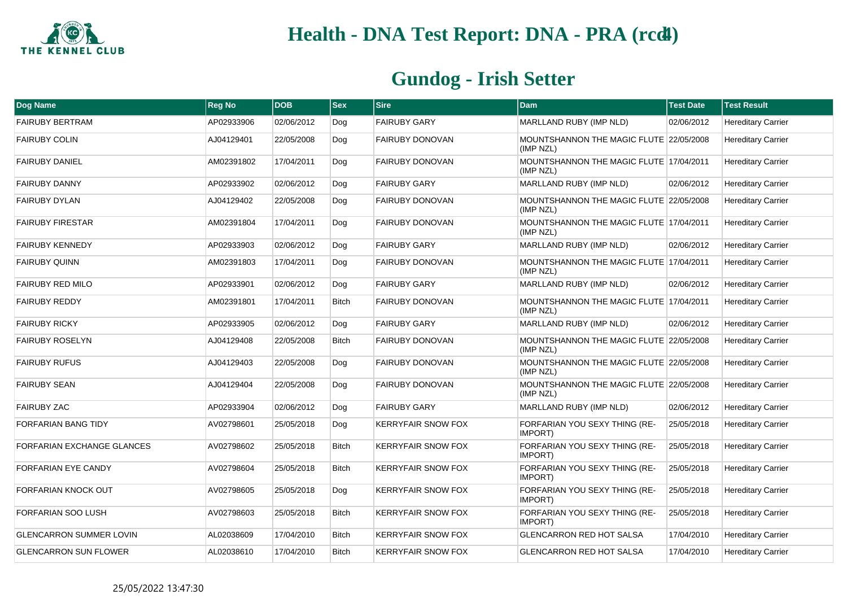

| Dog Name                       | <b>Reg No</b> | <b>DOB</b> | <b>Sex</b>   | <b>Sire</b>               | <b>Dam</b>                                           | <b>Test Date</b> | <b>Test Result</b>        |
|--------------------------------|---------------|------------|--------------|---------------------------|------------------------------------------------------|------------------|---------------------------|
| <b>FAIRUBY BERTRAM</b>         | AP02933906    | 02/06/2012 | Dog          | <b>FAIRUBY GARY</b>       | MARLLAND RUBY (IMP NLD)                              | 02/06/2012       | <b>Hereditary Carrier</b> |
| <b>FAIRUBY COLIN</b>           | AJ04129401    | 22/05/2008 | Dog          | <b>FAIRUBY DONOVAN</b>    | MOUNTSHANNON THE MAGIC FLUTE 22/05/2008<br>(IMP NZL) |                  | <b>Hereditary Carrier</b> |
| <b>FAIRUBY DANIEL</b>          | AM02391802    | 17/04/2011 | Dog          | FAIRUBY DONOVAN           | MOUNTSHANNON THE MAGIC FLUTE 17/04/2011<br>(IMP NZL) |                  | <b>Hereditary Carrier</b> |
| <b>FAIRUBY DANNY</b>           | AP02933902    | 02/06/2012 | Dog          | <b>FAIRUBY GARY</b>       | MARLLAND RUBY (IMP NLD)                              | 02/06/2012       | <b>Hereditary Carrier</b> |
| <b>FAIRUBY DYLAN</b>           | AJ04129402    | 22/05/2008 | Dog          | <b>FAIRUBY DONOVAN</b>    | MOUNTSHANNON THE MAGIC FLUTE 22/05/2008<br>(IMP NZL) |                  | <b>Hereditary Carrier</b> |
| <b>FAIRUBY FIRESTAR</b>        | AM02391804    | 17/04/2011 | Dog          | <b>FAIRUBY DONOVAN</b>    | MOUNTSHANNON THE MAGIC FLUTE 17/04/2011<br>(IMP NZL) |                  | <b>Hereditary Carrier</b> |
| <b>FAIRUBY KENNEDY</b>         | AP02933903    | 02/06/2012 | Dog          | <b>FAIRUBY GARY</b>       | MARLLAND RUBY (IMP NLD)                              | 02/06/2012       | <b>Hereditary Carrier</b> |
| <b>FAIRUBY QUINN</b>           | AM02391803    | 17/04/2011 | Dog          | FAIRUBY DONOVAN           | MOUNTSHANNON THE MAGIC FLUTE 17/04/2011<br>(IMP NZL) |                  | <b>Hereditary Carrier</b> |
| <b>FAIRUBY RED MILO</b>        | AP02933901    | 02/06/2012 | Dog          | <b>FAIRUBY GARY</b>       | MARLLAND RUBY (IMP NLD)                              | 02/06/2012       | <b>Hereditary Carrier</b> |
| <b>FAIRUBY REDDY</b>           | AM02391801    | 17/04/2011 | <b>Bitch</b> | <b>FAIRUBY DONOVAN</b>    | MOUNTSHANNON THE MAGIC FLUTE 17/04/2011<br>(IMP NZL) |                  | <b>Hereditary Carrier</b> |
| <b>FAIRUBY RICKY</b>           | AP02933905    | 02/06/2012 | Dog          | <b>FAIRUBY GARY</b>       | MARLLAND RUBY (IMP NLD)                              | 02/06/2012       | <b>Hereditary Carrier</b> |
| <b>FAIRUBY ROSELYN</b>         | AJ04129408    | 22/05/2008 | <b>Bitch</b> | FAIRUBY DONOVAN           | MOUNTSHANNON THE MAGIC FLUTE 22/05/2008<br>(IMP NZL) |                  | <b>Hereditary Carrier</b> |
| <b>FAIRUBY RUFUS</b>           | AJ04129403    | 22/05/2008 | Dog          | <b>FAIRUBY DONOVAN</b>    | MOUNTSHANNON THE MAGIC FLUTE 22/05/2008<br>(IMP NZL) |                  | <b>Hereditary Carrier</b> |
| <b>FAIRUBY SEAN</b>            | AJ04129404    | 22/05/2008 | Dog          | FAIRUBY DONOVAN           | MOUNTSHANNON THE MAGIC FLUTE 22/05/2008<br>(IMP NZL) |                  | <b>Hereditary Carrier</b> |
| <b>FAIRUBY ZAC</b>             | AP02933904    | 02/06/2012 | Dog          | <b>FAIRUBY GARY</b>       | MARLLAND RUBY (IMP NLD)                              | 02/06/2012       | <b>Hereditary Carrier</b> |
| <b>FORFARIAN BANG TIDY</b>     | AV02798601    | 25/05/2018 | Dog          | <b>KERRYFAIR SNOW FOX</b> | FORFARIAN YOU SEXY THING (RE-<br>IMPORT)             | 25/05/2018       | <b>Hereditary Carrier</b> |
| FORFARIAN EXCHANGE GLANCES     | AV02798602    | 25/05/2018 | <b>Bitch</b> | <b>KERRYFAIR SNOW FOX</b> | FORFARIAN YOU SEXY THING (RE-<br>IMPORT)             | 25/05/2018       | <b>Hereditary Carrier</b> |
| FORFARIAN EYE CANDY            | AV02798604    | 25/05/2018 | <b>Bitch</b> | <b>KERRYFAIR SNOW FOX</b> | FORFARIAN YOU SEXY THING (RE-<br>IMPORT)             | 25/05/2018       | <b>Hereditary Carrier</b> |
| FORFARIAN KNOCK OUT            | AV02798605    | 25/05/2018 | Dog          | <b>KERRYFAIR SNOW FOX</b> | FORFARIAN YOU SEXY THING (RE-<br>IMPORT)             | 25/05/2018       | <b>Hereditary Carrier</b> |
| FORFARIAN SOO LUSH             | AV02798603    | 25/05/2018 | <b>Bitch</b> | <b>KERRYFAIR SNOW FOX</b> | FORFARIAN YOU SEXY THING (RE-<br>IMPORT)             | 25/05/2018       | <b>Hereditary Carrier</b> |
| <b>GLENCARRON SUMMER LOVIN</b> | AL02038609    | 17/04/2010 | <b>Bitch</b> | <b>KERRYFAIR SNOW FOX</b> | <b>GLENCARRON RED HOT SALSA</b>                      | 17/04/2010       | <b>Hereditary Carrier</b> |
| <b>GLENCARRON SUN FLOWER</b>   | AL02038610    | 17/04/2010 | <b>Bitch</b> | <b>KERRYFAIR SNOW FOX</b> | <b>GLENCARRON RED HOT SALSA</b>                      | 17/04/2010       | <b>Hereditary Carrier</b> |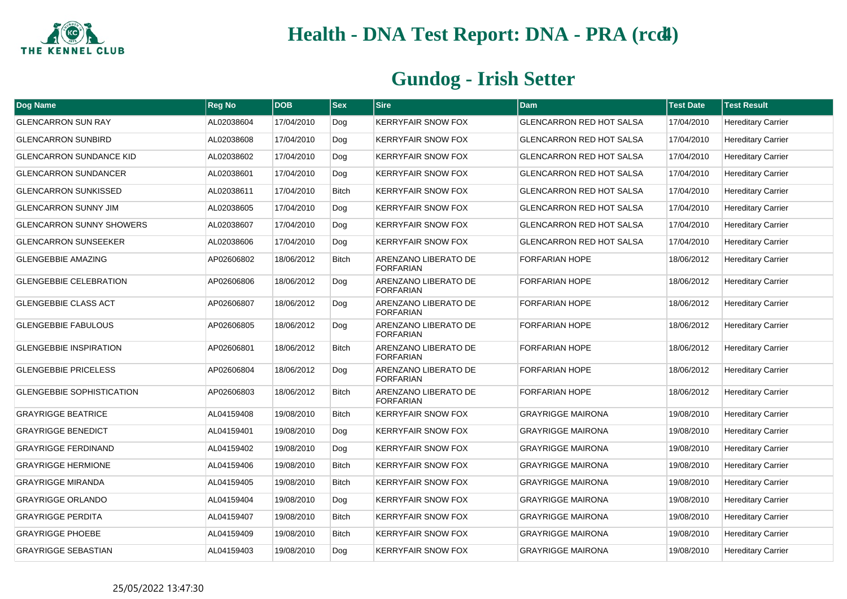

| Dog Name                         | <b>Reg No</b> | <b>DOB</b> | <b>Sex</b>   | <b>Sire</b>                              | <b>Dam</b>                      | <b>Test Date</b> | <b>Test Result</b>        |
|----------------------------------|---------------|------------|--------------|------------------------------------------|---------------------------------|------------------|---------------------------|
| <b>GLENCARRON SUN RAY</b>        | AL02038604    | 17/04/2010 | Dog          | <b>KERRYFAIR SNOW FOX</b>                | <b>GLENCARRON RED HOT SALSA</b> | 17/04/2010       | <b>Hereditary Carrier</b> |
| <b>GLENCARRON SUNBIRD</b>        | AL02038608    | 17/04/2010 | Dog          | <b>KERRYFAIR SNOW FOX</b>                | <b>GLENCARRON RED HOT SALSA</b> | 17/04/2010       | <b>Hereditary Carrier</b> |
| <b>GLENCARRON SUNDANCE KID</b>   | AL02038602    | 17/04/2010 | Dog          | <b>KERRYFAIR SNOW FOX</b>                | <b>GLENCARRON RED HOT SALSA</b> | 17/04/2010       | <b>Hereditary Carrier</b> |
| <b>GLENCARRON SUNDANCER</b>      | AL02038601    | 17/04/2010 | Dog          | <b>KERRYFAIR SNOW FOX</b>                | <b>GLENCARRON RED HOT SALSA</b> | 17/04/2010       | <b>Hereditary Carrier</b> |
| <b>GLENCARRON SUNKISSED</b>      | AL02038611    | 17/04/2010 | Bitch        | <b>KERRYFAIR SNOW FOX</b>                | <b>GLENCARRON RED HOT SALSA</b> | 17/04/2010       | <b>Hereditary Carrier</b> |
| <b>GLENCARRON SUNNY JIM</b>      | AL02038605    | 17/04/2010 | Dog          | <b>KERRYFAIR SNOW FOX</b>                | <b>GLENCARRON RED HOT SALSA</b> | 17/04/2010       | <b>Hereditary Carrier</b> |
| <b>GLENCARRON SUNNY SHOWERS</b>  | AL02038607    | 17/04/2010 | Dog          | <b>KERRYFAIR SNOW FOX</b>                | <b>GLENCARRON RED HOT SALSA</b> | 17/04/2010       | <b>Hereditary Carrier</b> |
| <b>GLENCARRON SUNSEEKER</b>      | AL02038606    | 17/04/2010 | Dog          | <b>KERRYFAIR SNOW FOX</b>                | <b>GLENCARRON RED HOT SALSA</b> | 17/04/2010       | <b>Hereditary Carrier</b> |
| <b>GLENGEBBIE AMAZING</b>        | AP02606802    | 18/06/2012 | Bitch        | ARENZANO LIBERATO DE<br><b>FORFARIAN</b> | <b>FORFARIAN HOPE</b>           | 18/06/2012       | <b>Hereditary Carrier</b> |
| <b>GLENGEBBIE CELEBRATION</b>    | AP02606806    | 18/06/2012 | Dog          | ARENZANO LIBERATO DE<br><b>FORFARIAN</b> | <b>FORFARIAN HOPE</b>           | 18/06/2012       | <b>Hereditary Carrier</b> |
| <b>GLENGEBBIE CLASS ACT</b>      | AP02606807    | 18/06/2012 | Dog          | ARENZANO LIBERATO DE<br><b>FORFARIAN</b> | FORFARIAN HOPE                  | 18/06/2012       | <b>Hereditary Carrier</b> |
| <b>GLENGEBBIE FABULOUS</b>       | AP02606805    | 18/06/2012 | Dog          | ARENZANO LIBERATO DE<br><b>FORFARIAN</b> | <b>FORFARIAN HOPE</b>           | 18/06/2012       | <b>Hereditary Carrier</b> |
| <b>GLENGEBBIE INSPIRATION</b>    | AP02606801    | 18/06/2012 | <b>Bitch</b> | ARENZANO LIBERATO DE<br><b>FORFARIAN</b> | FORFARIAN HOPE                  | 18/06/2012       | <b>Hereditary Carrier</b> |
| <b>GLENGEBBIE PRICELESS</b>      | AP02606804    | 18/06/2012 | Dog          | ARENZANO LIBERATO DE<br><b>FORFARIAN</b> | <b>FORFARIAN HOPE</b>           | 18/06/2012       | <b>Hereditary Carrier</b> |
| <b>GLENGEBBIE SOPHISTICATION</b> | AP02606803    | 18/06/2012 | Bitch        | ARENZANO LIBERATO DE<br><b>FORFARIAN</b> | FORFARIAN HOPE                  | 18/06/2012       | <b>Hereditary Carrier</b> |
| <b>GRAYRIGGE BEATRICE</b>        | AL04159408    | 19/08/2010 | Bitch        | <b>KERRYFAIR SNOW FOX</b>                | <b>GRAYRIGGE MAIRONA</b>        | 19/08/2010       | <b>Hereditary Carrier</b> |
| <b>GRAYRIGGE BENEDICT</b>        | AL04159401    | 19/08/2010 | Dog          | <b>KERRYFAIR SNOW FOX</b>                | <b>GRAYRIGGE MAIRONA</b>        | 19/08/2010       | <b>Hereditary Carrier</b> |
| <b>GRAYRIGGE FERDINAND</b>       | AL04159402    | 19/08/2010 | Dog          | <b>KERRYFAIR SNOW FOX</b>                | <b>GRAYRIGGE MAIRONA</b>        | 19/08/2010       | <b>Hereditary Carrier</b> |
| <b>GRAYRIGGE HERMIONE</b>        | AL04159406    | 19/08/2010 | <b>Bitch</b> | <b>KERRYFAIR SNOW FOX</b>                | <b>GRAYRIGGE MAIRONA</b>        | 19/08/2010       | <b>Hereditary Carrier</b> |
| <b>GRAYRIGGE MIRANDA</b>         | AL04159405    | 19/08/2010 | Bitch        | <b>KERRYFAIR SNOW FOX</b>                | <b>GRAYRIGGE MAIRONA</b>        | 19/08/2010       | <b>Hereditary Carrier</b> |
| <b>GRAYRIGGE ORLANDO</b>         | AL04159404    | 19/08/2010 | Dog          | <b>KERRYFAIR SNOW FOX</b>                | <b>GRAYRIGGE MAIRONA</b>        | 19/08/2010       | <b>Hereditary Carrier</b> |
| <b>GRAYRIGGE PERDITA</b>         | AL04159407    | 19/08/2010 | Bitch        | <b>KERRYFAIR SNOW FOX</b>                | <b>GRAYRIGGE MAIRONA</b>        | 19/08/2010       | <b>Hereditary Carrier</b> |
| <b>GRAYRIGGE PHOEBE</b>          | AL04159409    | 19/08/2010 | <b>Bitch</b> | <b>KERRYFAIR SNOW FOX</b>                | <b>GRAYRIGGE MAIRONA</b>        | 19/08/2010       | <b>Hereditary Carrier</b> |
| <b>GRAYRIGGE SEBASTIAN</b>       | AL04159403    | 19/08/2010 | Dog          | <b>KERRYFAIR SNOW FOX</b>                | <b>GRAYRIGGE MAIRONA</b>        | 19/08/2010       | <b>Hereditary Carrier</b> |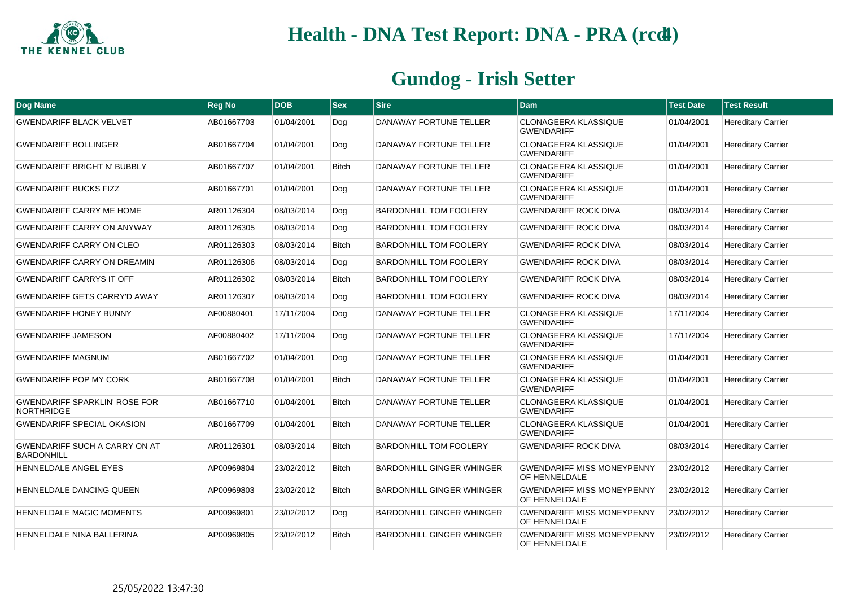

| <b>Dog Name</b>                                           | <b>Reg No</b> | <b>DOB</b> | <b>Sex</b>   | <b>Sire</b>                      | Dam                                                | <b>Test Date</b> | <b>Test Result</b>        |
|-----------------------------------------------------------|---------------|------------|--------------|----------------------------------|----------------------------------------------------|------------------|---------------------------|
| <b>GWENDARIFF BLACK VELVET</b>                            | AB01667703    | 01/04/2001 | Dog          | DANAWAY FORTUNE TELLER           | <b>CLONAGEERA KLASSIQUE</b><br><b>GWENDARIFF</b>   | 01/04/2001       | <b>Hereditary Carrier</b> |
| <b>GWENDARIFF BOLLINGER</b>                               | AB01667704    | 01/04/2001 | Dog          | DANAWAY FORTUNE TELLER           | <b>CLONAGEERA KLASSIQUE</b><br><b>GWENDARIFF</b>   | 01/04/2001       | <b>Hereditary Carrier</b> |
| <b>GWENDARIFF BRIGHT N' BUBBLY</b>                        | AB01667707    | 01/04/2001 | <b>Bitch</b> | DANAWAY FORTUNE TELLER           | CLONAGEERA KLASSIQUE<br><b>GWENDARIFF</b>          | 01/04/2001       | <b>Hereditary Carrier</b> |
| <b>GWENDARIFF BUCKS FIZZ</b>                              | AB01667701    | 01/04/2001 | Dog          | DANAWAY FORTUNE TELLER           | <b>CLONAGEERA KLASSIQUE</b><br><b>GWENDARIFF</b>   | 01/04/2001       | <b>Hereditary Carrier</b> |
| <b>GWENDARIFF CARRY ME HOME</b>                           | AR01126304    | 08/03/2014 | Dog          | <b>BARDONHILL TOM FOOLERY</b>    | <b>GWENDARIFF ROCK DIVA</b>                        | 08/03/2014       | <b>Hereditary Carrier</b> |
| <b>GWENDARIFF CARRY ON ANYWAY</b>                         | AR01126305    | 08/03/2014 | Dog          | <b>BARDONHILL TOM FOOLERY</b>    | <b>GWENDARIFF ROCK DIVA</b>                        | 08/03/2014       | <b>Hereditary Carrier</b> |
| <b>GWENDARIFF CARRY ON CLEO</b>                           | AR01126303    | 08/03/2014 | <b>Bitch</b> | <b>BARDONHILL TOM FOOLERY</b>    | <b>GWENDARIFF ROCK DIVA</b>                        | 08/03/2014       | <b>Hereditary Carrier</b> |
| <b>GWENDARIFF CARRY ON DREAMIN</b>                        | AR01126306    | 08/03/2014 | Dog          | <b>BARDONHILL TOM FOOLERY</b>    | <b>GWENDARIFF ROCK DIVA</b>                        | 08/03/2014       | <b>Hereditary Carrier</b> |
| <b>GWENDARIFF CARRYS IT OFF</b>                           | AR01126302    | 08/03/2014 | <b>Bitch</b> | <b>BARDONHILL TOM FOOLERY</b>    | <b>GWENDARIFF ROCK DIVA</b>                        | 08/03/2014       | <b>Hereditary Carrier</b> |
| <b>GWENDARIFF GETS CARRY'D AWAY</b>                       | AR01126307    | 08/03/2014 | Dog          | <b>BARDONHILL TOM FOOLERY</b>    | <b>GWENDARIFF ROCK DIVA</b>                        | 08/03/2014       | <b>Hereditary Carrier</b> |
| <b>GWENDARIFF HONEY BUNNY</b>                             | AF00880401    | 17/11/2004 | Dog          | DANAWAY FORTUNE TELLER           | CLONAGEERA KLASSIQUE<br><b>GWENDARIFF</b>          | 17/11/2004       | <b>Hereditary Carrier</b> |
| <b>GWENDARIFF JAMESON</b>                                 | AF00880402    | 17/11/2004 | Dog          | DANAWAY FORTUNE TELLER           | CLONAGEERA KLASSIQUE<br><b>GWENDARIFF</b>          | 17/11/2004       | <b>Hereditary Carrier</b> |
| <b>GWENDARIFF MAGNUM</b>                                  | AB01667702    | 01/04/2001 | Dog          | DANAWAY FORTUNE TELLER           | <b>CLONAGEERA KLASSIQUE</b><br><b>GWENDARIFF</b>   | 01/04/2001       | <b>Hereditary Carrier</b> |
| <b>GWENDARIFF POP MY CORK</b>                             | AB01667708    | 01/04/2001 | <b>Bitch</b> | DANAWAY FORTUNE TELLER           | CLONAGEERA KLASSIQUE<br><b>GWENDARIFF</b>          | 01/04/2001       | <b>Hereditary Carrier</b> |
| <b>GWENDARIFF SPARKLIN' ROSE FOR</b><br><b>NORTHRIDGE</b> | AB01667710    | 01/04/2001 | <b>Bitch</b> | DANAWAY FORTUNE TELLER           | CLONAGEERA KLASSIQUE<br><b>GWENDARIFF</b>          | 01/04/2001       | <b>Hereditary Carrier</b> |
| <b>GWENDARIFF SPECIAL OKASION</b>                         | AB01667709    | 01/04/2001 | <b>Bitch</b> | DANAWAY FORTUNE TELLER           | <b>CLONAGEERA KLASSIQUE</b><br><b>GWENDARIFF</b>   | 01/04/2001       | <b>Hereditary Carrier</b> |
| <b>GWENDARIFF SUCH A CARRY ON AT</b><br><b>BARDONHILL</b> | AR01126301    | 08/03/2014 | <b>Bitch</b> | <b>BARDONHILL TOM FOOLERY</b>    | <b>GWENDARIFF ROCK DIVA</b>                        | 08/03/2014       | <b>Hereditary Carrier</b> |
| HENNELDALE ANGEL EYES                                     | AP00969804    | 23/02/2012 | <b>Bitch</b> | <b>BARDONHILL GINGER WHINGER</b> | <b>GWENDARIFF MISS MONEYPENNY</b><br>OF HENNELDALE | 23/02/2012       | <b>Hereditary Carrier</b> |
| HENNELDALE DANCING QUEEN                                  | AP00969803    | 23/02/2012 | <b>Bitch</b> | <b>BARDONHILL GINGER WHINGER</b> | <b>GWENDARIFF MISS MONEYPENNY</b><br>OF HENNELDALE | 23/02/2012       | <b>Hereditary Carrier</b> |
| HENNELDALE MAGIC MOMENTS                                  | AP00969801    | 23/02/2012 | Dog          | <b>BARDONHILL GINGER WHINGER</b> | <b>GWENDARIFF MISS MONEYPENNY</b><br>OF HENNELDALE | 23/02/2012       | <b>Hereditary Carrier</b> |
| HENNELDALE NINA BALLERINA                                 | AP00969805    | 23/02/2012 | <b>Bitch</b> | <b>BARDONHILL GINGER WHINGER</b> | <b>GWENDARIFF MISS MONEYPENNY</b><br>OF HENNELDALE | 23/02/2012       | <b>Hereditary Carrier</b> |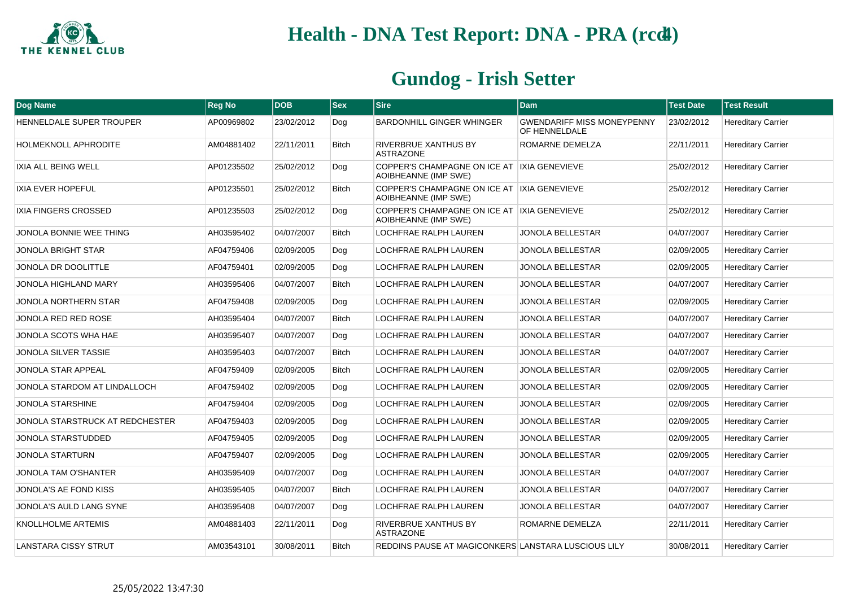

| <b>Dog Name</b>                 | <b>Reg No</b> | <b>DOB</b> | <b>Sex</b>   | <b>Sire</b>                                                         | <b>Dam</b>                                         | <b>Test Date</b> | <b>Test Result</b>        |
|---------------------------------|---------------|------------|--------------|---------------------------------------------------------------------|----------------------------------------------------|------------------|---------------------------|
| HENNELDALE SUPER TROUPER        | AP00969802    | 23/02/2012 | Dog          | <b>BARDONHILL GINGER WHINGER</b>                                    | <b>GWENDARIFF MISS MONEYPENNY</b><br>OF HENNELDALE | 23/02/2012       | <b>Hereditary Carrier</b> |
| <b>HOLMEKNOLL APHRODITE</b>     | AM04881402    | 22/11/2011 | <b>Bitch</b> | RIVERBRUE XANTHUS BY<br><b>ASTRAZONE</b>                            | ROMARNE DEMELZA                                    | 22/11/2011       | <b>Hereditary Carrier</b> |
| <b>IXIA ALL BEING WELL</b>      | AP01235502    | 25/02/2012 | Dog          | COPPER'S CHAMPAGNE ON ICE AT IXIA GENEVIEVE<br>AOIBHEANNE (IMP SWE) |                                                    | 25/02/2012       | <b>Hereditary Carrier</b> |
| <b>IXIA EVER HOPEFUL</b>        | AP01235501    | 25/02/2012 | <b>Bitch</b> | COPPER'S CHAMPAGNE ON ICE AT IXIA GENEVIEVE<br>AOIBHEANNE (IMP SWE) |                                                    | 25/02/2012       | <b>Hereditary Carrier</b> |
| IXIA FINGERS CROSSED            | AP01235503    | 25/02/2012 | Dog          | COPPER'S CHAMPAGNE ON ICE AT IXIA GENEVIEVE<br>AOIBHEANNE (IMP SWE) |                                                    | 25/02/2012       | <b>Hereditary Carrier</b> |
| JONOLA BONNIE WEE THING         | AH03595402    | 04/07/2007 | <b>Bitch</b> | LOCHFRAE RALPH LAUREN                                               | <b>JONOLA BELLESTAR</b>                            | 04/07/2007       | <b>Hereditary Carrier</b> |
| <b>JONOLA BRIGHT STAR</b>       | AF04759406    | 02/09/2005 | Dog          | LOCHFRAE RALPH LAUREN                                               | <b>JONOLA BELLESTAR</b>                            | 02/09/2005       | <b>Hereditary Carrier</b> |
| JONOLA DR DOOLITTLE             | AF04759401    | 02/09/2005 | Dog          | <b>LOCHFRAE RALPH LAUREN</b>                                        | <b>JONOLA BELLESTAR</b>                            | 02/09/2005       | <b>Hereditary Carrier</b> |
| JONOLA HIGHLAND MARY            | AH03595406    | 04/07/2007 | <b>Bitch</b> | LOCHFRAE RALPH LAUREN                                               | <b>JONOLA BELLESTAR</b>                            | 04/07/2007       | <b>Hereditary Carrier</b> |
| JONOLA NORTHERN STAR            | AF04759408    | 02/09/2005 | Dog          | LOCHFRAE RALPH LAUREN                                               | JONOLA BELLESTAR                                   | 02/09/2005       | <b>Hereditary Carrier</b> |
| JONOLA RED RED ROSE             | AH03595404    | 04/07/2007 | <b>Bitch</b> | <b>LOCHFRAE RALPH LAUREN</b>                                        | <b>JONOLA BELLESTAR</b>                            | 04/07/2007       | <b>Hereditary Carrier</b> |
| JONOLA SCOTS WHA HAE            | AH03595407    | 04/07/2007 | Dog          | LOCHFRAE RALPH LAUREN                                               | <b>JONOLA BELLESTAR</b>                            | 04/07/2007       | <b>Hereditary Carrier</b> |
| JONOLA SILVER TASSIE            | AH03595403    | 04/07/2007 | <b>Bitch</b> | <b>LOCHFRAE RALPH LAUREN</b>                                        | <b>JONOLA BELLESTAR</b>                            | 04/07/2007       | <b>Hereditary Carrier</b> |
| JONOLA STAR APPEAL              | AF04759409    | 02/09/2005 | <b>Bitch</b> | LOCHFRAE RALPH LAUREN                                               | JONOLA BELLESTAR                                   | 02/09/2005       | <b>Hereditary Carrier</b> |
| JONOLA STARDOM AT LINDALLOCH    | AF04759402    | 02/09/2005 | Dog          | LOCHFRAE RALPH LAUREN                                               | <b>JONOLA BELLESTAR</b>                            | 02/09/2005       | <b>Hereditary Carrier</b> |
| <b>JONOLA STARSHINE</b>         | AF04759404    | 02/09/2005 | Dog          | LOCHFRAE RALPH LAUREN                                               | <b>JONOLA BELLESTAR</b>                            | 02/09/2005       | <b>Hereditary Carrier</b> |
| JONOLA STARSTRUCK AT REDCHESTER | AF04759403    | 02/09/2005 | Dog          | LOCHFRAE RALPH LAUREN                                               | <b>JONOLA BELLESTAR</b>                            | 02/09/2005       | <b>Hereditary Carrier</b> |
| <b>JONOLA STARSTUDDED</b>       | AF04759405    | 02/09/2005 | Dog          | <b>LOCHFRAE RALPH LAUREN</b>                                        | <b>JONOLA BELLESTAR</b>                            | 02/09/2005       | <b>Hereditary Carrier</b> |
| JONOLA STARTURN                 | AF04759407    | 02/09/2005 | Dog          | LOCHFRAE RALPH LAUREN                                               | JONOLA BELLESTAR                                   | 02/09/2005       | <b>Hereditary Carrier</b> |
| JONOLA TAM O'SHANTER            | AH03595409    | 04/07/2007 | Dog          | LOCHFRAE RALPH LAUREN                                               | <b>JONOLA BELLESTAR</b>                            | 04/07/2007       | <b>Hereditary Carrier</b> |
| JONOLA'S AE FOND KISS           | AH03595405    | 04/07/2007 | <b>Bitch</b> | LOCHFRAE RALPH LAUREN                                               | <b>JONOLA BELLESTAR</b>                            | 04/07/2007       | <b>Hereditary Carrier</b> |
| JONOLA'S AULD LANG SYNE         | AH03595408    | 04/07/2007 | Dog          | LOCHFRAE RALPH LAUREN                                               | <b>JONOLA BELLESTAR</b>                            | 04/07/2007       | <b>Hereditary Carrier</b> |
| KNOLLHOLME ARTEMIS              | AM04881403    | 22/11/2011 | Dog          | <b>RIVERBRUE XANTHUS BY</b><br><b>ASTRAZONE</b>                     | ROMARNE DEMELZA                                    | 22/11/2011       | <b>Hereditary Carrier</b> |
| <b>LANSTARA CISSY STRUT</b>     | AM03543101    | 30/08/2011 | <b>Bitch</b> | REDDINS PAUSE AT MAGICONKERS LANSTARA LUSCIOUS LILY                 |                                                    | 30/08/2011       | <b>Hereditary Carrier</b> |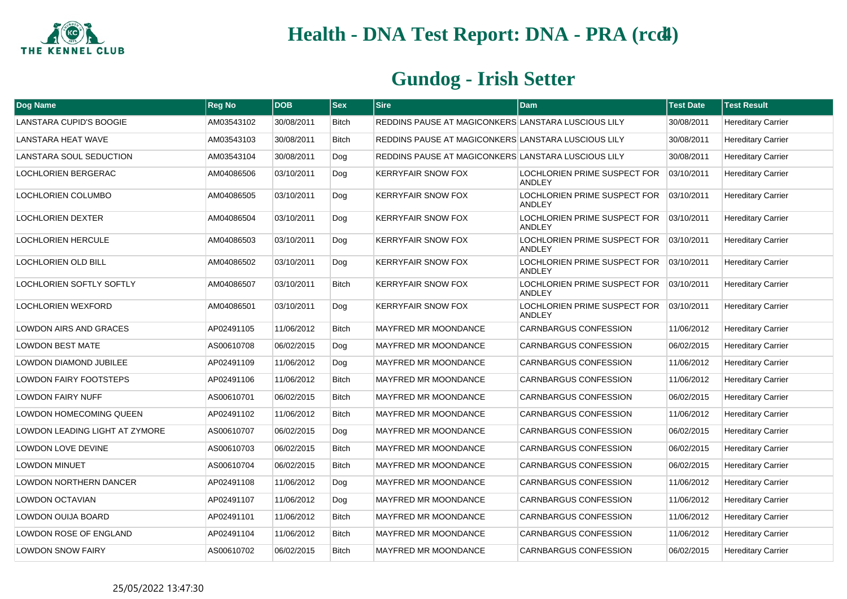

| Dog Name                       | <b>Reg No</b> | <b>DOB</b> | <b>Sex</b>   | <b>Sire</b>                                         | Dam                                           | <b>Test Date</b> | <b>Test Result</b>        |
|--------------------------------|---------------|------------|--------------|-----------------------------------------------------|-----------------------------------------------|------------------|---------------------------|
| LANSTARA CUPID'S BOOGIE        | AM03543102    | 30/08/2011 | <b>Bitch</b> | REDDINS PAUSE AT MAGICONKERS LANSTARA LUSCIOUS LILY |                                               | 30/08/2011       | <b>Hereditary Carrier</b> |
| <b>LANSTARA HEAT WAVE</b>      | AM03543103    | 30/08/2011 | <b>Bitch</b> | REDDINS PAUSE AT MAGICONKERS LANSTARA LUSCIOUS LILY |                                               | 30/08/2011       | <b>Hereditary Carrier</b> |
| LANSTARA SOUL SEDUCTION        | AM03543104    | 30/08/2011 | Dog          | REDDINS PAUSE AT MAGICONKERS LANSTARA LUSCIOUS LILY |                                               | 30/08/2011       | <b>Hereditary Carrier</b> |
| <b>LOCHLORIEN BERGERAC</b>     | AM04086506    | 03/10/2011 | Dog          | <b>KERRYFAIR SNOW FOX</b>                           | LOCHLORIEN PRIME SUSPECT FOR<br><b>ANDLEY</b> | 03/10/2011       | <b>Hereditary Carrier</b> |
| LOCHLORIEN COLUMBO             | AM04086505    | 03/10/2011 | Dog          | <b>KERRYFAIR SNOW FOX</b>                           | LOCHLORIEN PRIME SUSPECT FOR<br><b>ANDLEY</b> | 03/10/2011       | <b>Hereditary Carrier</b> |
| LOCHLORIEN DEXTER              | AM04086504    | 03/10/2011 | Dog          | <b>KERRYFAIR SNOW FOX</b>                           | LOCHLORIEN PRIME SUSPECT FOR<br>ANDLEY        | 03/10/2011       | <b>Hereditary Carrier</b> |
| <b>LOCHLORIEN HERCULE</b>      | AM04086503    | 03/10/2011 | Dog          | <b>KERRYFAIR SNOW FOX</b>                           | LOCHLORIEN PRIME SUSPECT FOR<br><b>ANDLEY</b> | 03/10/2011       | <b>Hereditary Carrier</b> |
| LOCHLORIEN OLD BILL            | AM04086502    | 03/10/2011 | Dog          | <b>KERRYFAIR SNOW FOX</b>                           | LOCHLORIEN PRIME SUSPECT FOR<br><b>ANDLEY</b> | 03/10/2011       | <b>Hereditary Carrier</b> |
| LOCHLORIEN SOFTLY SOFTLY       | AM04086507    | 03/10/2011 | <b>Bitch</b> | <b>KERRYFAIR SNOW FOX</b>                           | LOCHLORIEN PRIME SUSPECT FOR<br>ANDLEY        | 03/10/2011       | <b>Hereditary Carrier</b> |
| LOCHLORIEN WEXFORD             | AM04086501    | 03/10/2011 | Dog          | <b>KERRYFAIR SNOW FOX</b>                           | LOCHLORIEN PRIME SUSPECT FOR<br><b>ANDLEY</b> | 03/10/2011       | <b>Hereditary Carrier</b> |
| <b>LOWDON AIRS AND GRACES</b>  | AP02491105    | 11/06/2012 | <b>Bitch</b> | <b>MAYFRED MR MOONDANCE</b>                         | <b>CARNBARGUS CONFESSION</b>                  | 11/06/2012       | <b>Hereditary Carrier</b> |
| <b>LOWDON BEST MATE</b>        | AS00610708    | 06/02/2015 | Dog          | MAYFRED MR MOONDANCE                                | CARNBARGUS CONFESSION                         | 06/02/2015       | <b>Hereditary Carrier</b> |
| LOWDON DIAMOND JUBILEE         | AP02491109    | 11/06/2012 | Dog          | MAYFRED MR MOONDANCE                                | <b>CARNBARGUS CONFESSION</b>                  | 11/06/2012       | <b>Hereditary Carrier</b> |
| <b>LOWDON FAIRY FOOTSTEPS</b>  | AP02491106    | 11/06/2012 | <b>Bitch</b> | MAYFRED MR MOONDANCE                                | <b>CARNBARGUS CONFESSION</b>                  | 11/06/2012       | <b>Hereditary Carrier</b> |
| <b>LOWDON FAIRY NUFF</b>       | AS00610701    | 06/02/2015 | <b>Bitch</b> | <b>MAYFRED MR MOONDANCE</b>                         | <b>CARNBARGUS CONFESSION</b>                  | 06/02/2015       | <b>Hereditary Carrier</b> |
| LOWDON HOMECOMING QUEEN        | AP02491102    | 11/06/2012 | Bitch        | <b>MAYFRED MR MOONDANCE</b>                         | CARNBARGUS CONFESSION                         | 11/06/2012       | <b>Hereditary Carrier</b> |
| LOWDON LEADING LIGHT AT ZYMORE | AS00610707    | 06/02/2015 | Dog          | <b>MAYFRED MR MOONDANCE</b>                         | <b>CARNBARGUS CONFESSION</b>                  | 06/02/2015       | <b>Hereditary Carrier</b> |
| <b>LOWDON LOVE DEVINE</b>      | AS00610703    | 06/02/2015 | <b>Bitch</b> | <b>MAYFRED MR MOONDANCE</b>                         | CARNBARGUS CONFESSION                         | 06/02/2015       | <b>Hereditary Carrier</b> |
| <b>LOWDON MINUET</b>           | AS00610704    | 06/02/2015 | <b>Bitch</b> | <b>MAYFRED MR MOONDANCE</b>                         | CARNBARGUS CONFESSION                         | 06/02/2015       | <b>Hereditary Carrier</b> |
| LOWDON NORTHERN DANCER         | AP02491108    | 11/06/2012 | Dog          | MAYFRED MR MOONDANCE                                | CARNBARGUS CONFESSION                         | 11/06/2012       | <b>Hereditary Carrier</b> |
| LOWDON OCTAVIAN                | AP02491107    | 11/06/2012 | Dog          | MAYFRED MR MOONDANCE                                | <b>CARNBARGUS CONFESSION</b>                  | 11/06/2012       | <b>Hereditary Carrier</b> |
| LOWDON OUIJA BOARD             | AP02491101    | 11/06/2012 | <b>Bitch</b> | MAYFRED MR MOONDANCE                                | CARNBARGUS CONFESSION                         | 11/06/2012       | <b>Hereditary Carrier</b> |
| <b>LOWDON ROSE OF ENGLAND</b>  | AP02491104    | 11/06/2012 | <b>Bitch</b> | <b>MAYFRED MR MOONDANCE</b>                         | <b>CARNBARGUS CONFESSION</b>                  | 11/06/2012       | <b>Hereditary Carrier</b> |
| <b>LOWDON SNOW FAIRY</b>       | AS00610702    | 06/02/2015 | <b>Bitch</b> | <b>MAYFRED MR MOONDANCE</b>                         | <b>CARNBARGUS CONFESSION</b>                  | 06/02/2015       | <b>Hereditary Carrier</b> |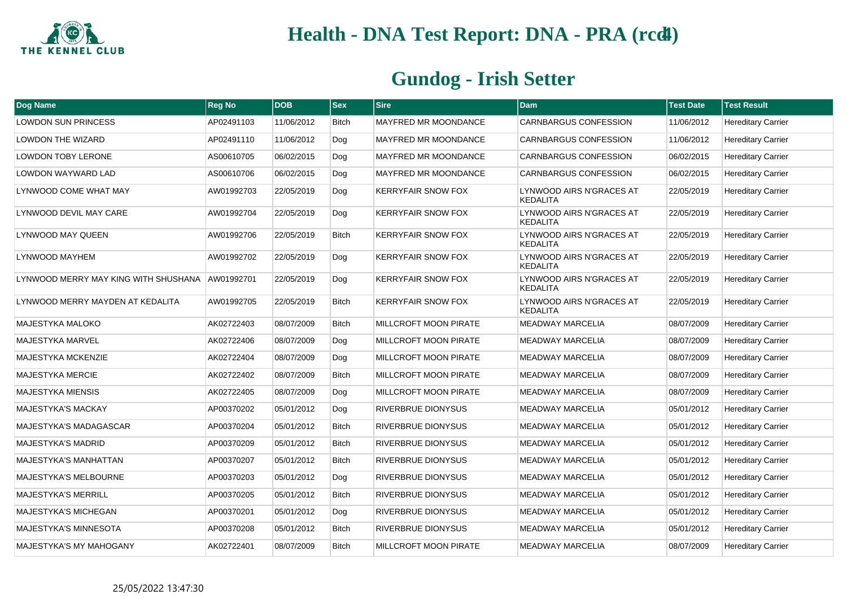

| Dog Name                                        | <b>Reg No</b> | <b>DOB</b> | <b>Sex</b>   | <b>Sire</b>                  | Dam                                         | <b>Test Date</b> | <b>Test Result</b>        |
|-------------------------------------------------|---------------|------------|--------------|------------------------------|---------------------------------------------|------------------|---------------------------|
| <b>LOWDON SUN PRINCESS</b>                      | AP02491103    | 11/06/2012 | <b>Bitch</b> | <b>MAYFRED MR MOONDANCE</b>  | CARNBARGUS CONFESSION                       | 11/06/2012       | <b>Hereditary Carrier</b> |
| <b>LOWDON THE WIZARD</b>                        | AP02491110    | 11/06/2012 | Dog          | <b>MAYFRED MR MOONDANCE</b>  | CARNBARGUS CONFESSION                       | 11/06/2012       | <b>Hereditary Carrier</b> |
| <b>LOWDON TOBY LERONE</b>                       | AS00610705    | 06/02/2015 | Dog          | <b>MAYFRED MR MOONDANCE</b>  | CARNBARGUS CONFESSION                       | 06/02/2015       | <b>Hereditary Carrier</b> |
| LOWDON WAYWARD LAD                              | AS00610706    | 06/02/2015 | Dog          | MAYFRED MR MOONDANCE         | CARNBARGUS CONFESSION                       | 06/02/2015       | <b>Hereditary Carrier</b> |
| LYNWOOD COME WHAT MAY                           | AW01992703    | 22/05/2019 | Dog          | <b>KERRYFAIR SNOW FOX</b>    | LYNWOOD AIRS N'GRACES AT<br>KEDALITA        | 22/05/2019       | <b>Hereditary Carrier</b> |
| LYNWOOD DEVIL MAY CARE                          | AW01992704    | 22/05/2019 | Dog          | <b>KERRYFAIR SNOW FOX</b>    | LYNWOOD AIRS N'GRACES AT<br><b>KEDALITA</b> | 22/05/2019       | <b>Hereditary Carrier</b> |
| LYNWOOD MAY QUEEN                               | AW01992706    | 22/05/2019 | <b>Bitch</b> | <b>KERRYFAIR SNOW FOX</b>    | LYNWOOD AIRS N'GRACES AT<br><b>KEDALITA</b> | 22/05/2019       | <b>Hereditary Carrier</b> |
| LYNWOOD MAYHEM                                  | AW01992702    | 22/05/2019 | Dog          | <b>KERRYFAIR SNOW FOX</b>    | LYNWOOD AIRS N'GRACES AT<br><b>KEDALITA</b> | 22/05/2019       | <b>Hereditary Carrier</b> |
| LYNWOOD MERRY MAY KING WITH SHUSHANA AW01992701 |               | 22/05/2019 | Dog          | <b>KERRYFAIR SNOW FOX</b>    | LYNWOOD AIRS N'GRACES AT<br><b>KEDALITA</b> | 22/05/2019       | <b>Hereditary Carrier</b> |
| LYNWOOD MERRY MAYDEN AT KEDALITA                | AW01992705    | 22/05/2019 | <b>Bitch</b> | <b>KERRYFAIR SNOW FOX</b>    | LYNWOOD AIRS N'GRACES AT<br><b>KEDALITA</b> | 22/05/2019       | <b>Hereditary Carrier</b> |
| <b>MAJESTYKA MALOKO</b>                         | AK02722403    | 08/07/2009 | <b>Bitch</b> | MILLCROFT MOON PIRATE        | <b>MEADWAY MARCELIA</b>                     | 08/07/2009       | <b>Hereditary Carrier</b> |
| MAJESTYKA MARVEL                                | AK02722406    | 08/07/2009 | Dog          | <b>MILLCROFT MOON PIRATE</b> | <b>MEADWAY MARCELIA</b>                     | 08/07/2009       | <b>Hereditary Carrier</b> |
| <b>MAJESTYKA MCKENZIE</b>                       | AK02722404    | 08/07/2009 | Dog          | <b>MILLCROFT MOON PIRATE</b> | <b>MEADWAY MARCELIA</b>                     | 08/07/2009       | <b>Hereditary Carrier</b> |
| <b>MAJESTYKA MERCIE</b>                         | AK02722402    | 08/07/2009 | <b>Bitch</b> | MILLCROFT MOON PIRATE        | <b>MEADWAY MARCELIA</b>                     | 08/07/2009       | <b>Hereditary Carrier</b> |
| <b>MAJESTYKA MIENSIS</b>                        | AK02722405    | 08/07/2009 | Dog          | <b>MILLCROFT MOON PIRATE</b> | <b>MEADWAY MARCELIA</b>                     | 08/07/2009       | <b>Hereditary Carrier</b> |
| MAJESTYKA'S MACKAY                              | AP00370202    | 05/01/2012 | Dog          | RIVERBRUE DIONYSUS           | <b>MEADWAY MARCELIA</b>                     | 05/01/2012       | <b>Hereditary Carrier</b> |
| <b>MAJESTYKA'S MADAGASCAR</b>                   | AP00370204    | 05/01/2012 | <b>Bitch</b> | RIVERBRUE DIONYSUS           | <b>MEADWAY MARCELIA</b>                     | 05/01/2012       | <b>Hereditary Carrier</b> |
| <b>MAJESTYKA'S MADRID</b>                       | AP00370209    | 05/01/2012 | <b>Bitch</b> | RIVERBRUE DIONYSUS           | <b>MEADWAY MARCELIA</b>                     | 05/01/2012       | <b>Hereditary Carrier</b> |
| MAJESTYKA'S MANHATTAN                           | AP00370207    | 05/01/2012 | <b>Bitch</b> | RIVERBRUE DIONYSUS           | MEADWAY MARCELIA                            | 05/01/2012       | <b>Hereditary Carrier</b> |
| MAJESTYKA'S MELBOURNE                           | AP00370203    | 05/01/2012 | Dog          | RIVERBRUE DIONYSUS           | <b>MEADWAY MARCELIA</b>                     | 05/01/2012       | <b>Hereditary Carrier</b> |
| <b>MAJESTYKA'S MERRILL</b>                      | AP00370205    | 05/01/2012 | <b>Bitch</b> | RIVERBRUE DIONYSUS           | <b>MEADWAY MARCELIA</b>                     | 05/01/2012       | <b>Hereditary Carrier</b> |
| <b>MAJESTYKA'S MICHEGAN</b>                     | AP00370201    | 05/01/2012 | Dog          | RIVERBRUE DIONYSUS           | <b>MEADWAY MARCELIA</b>                     | 05/01/2012       | <b>Hereditary Carrier</b> |
| <b>MAJESTYKA'S MINNESOTA</b>                    | AP00370208    | 05/01/2012 | <b>Bitch</b> | RIVERBRUE DIONYSUS           | <b>MEADWAY MARCELIA</b>                     | 05/01/2012       | <b>Hereditary Carrier</b> |
| MAJESTYKA'S MY MAHOGANY                         | AK02722401    | 08/07/2009 | <b>Bitch</b> | <b>MILLCROFT MOON PIRATE</b> | <b>MEADWAY MARCELIA</b>                     | 08/07/2009       | <b>Hereditary Carrier</b> |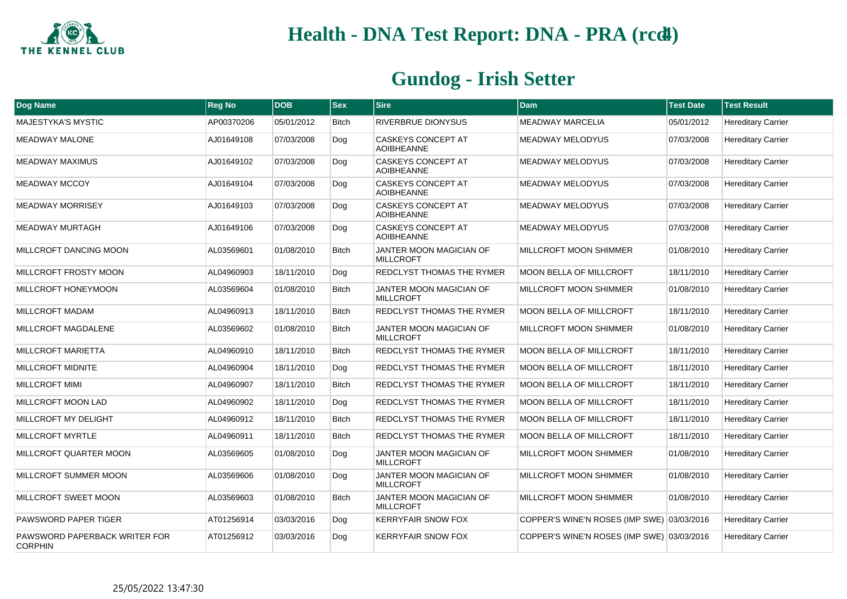

| Dog Name                                        | <b>Reg No</b> | <b>DOB</b> | <b>Sex</b>   | <b>Sire</b>                                        | Dam                                        | <b>Test Date</b> | <b>Test Result</b>        |
|-------------------------------------------------|---------------|------------|--------------|----------------------------------------------------|--------------------------------------------|------------------|---------------------------|
| <b>MAJESTYKA'S MYSTIC</b>                       | AP00370206    | 05/01/2012 | Bitch        | RIVERBRUE DIONYSUS                                 | <b>MEADWAY MARCELIA</b>                    | 05/01/2012       | <b>Hereditary Carrier</b> |
| <b>MEADWAY MALONE</b>                           | AJ01649108    | 07/03/2008 | Dog          | <b>CASKEYS CONCEPT AT</b><br><b>AOIBHEANNE</b>     | <b>MEADWAY MELODYUS</b>                    | 07/03/2008       | <b>Hereditary Carrier</b> |
| <b>MEADWAY MAXIMUS</b>                          | AJ01649102    | 07/03/2008 | Dog          | <b>CASKEYS CONCEPT AT</b><br><b>AOIBHEANNE</b>     | <b>MEADWAY MELODYUS</b>                    | 07/03/2008       | <b>Hereditary Carrier</b> |
| <b>MEADWAY MCCOY</b>                            | AJ01649104    | 07/03/2008 | Dog          | <b>CASKEYS CONCEPT AT</b><br><b>AOIBHEANNE</b>     | <b>MEADWAY MELODYUS</b>                    | 07/03/2008       | <b>Hereditary Carrier</b> |
| <b>MEADWAY MORRISEY</b>                         | AJ01649103    | 07/03/2008 | Dog          | <b>CASKEYS CONCEPT AT</b><br><b>AOIBHEANNE</b>     | <b>MEADWAY MELODYUS</b>                    | 07/03/2008       | <b>Hereditary Carrier</b> |
| <b>MEADWAY MURTAGH</b>                          | AJ01649106    | 07/03/2008 | Dog          | <b>CASKEYS CONCEPT AT</b><br><b>AOIBHEANNE</b>     | <b>MEADWAY MELODYUS</b>                    | 07/03/2008       | <b>Hereditary Carrier</b> |
| MILLCROFT DANCING MOON                          | AL03569601    | 01/08/2010 | <b>Bitch</b> | JANTER MOON MAGICIAN OF<br><b>MILLCROFT</b>        | MILLCROFT MOON SHIMMER                     | 01/08/2010       | <b>Hereditary Carrier</b> |
| MILLCROFT FROSTY MOON                           | AL04960903    | 18/11/2010 | Dog          | REDCLYST THOMAS THE RYMER                          | <b>MOON BELLA OF MILLCROFT</b>             | 18/11/2010       | <b>Hereditary Carrier</b> |
| MILLCROFT HONEYMOON                             | AL03569604    | 01/08/2010 | <b>Bitch</b> | <b>JANTER MOON MAGICIAN OF</b><br><b>MILLCROFT</b> | MILLCROFT MOON SHIMMER                     | 01/08/2010       | <b>Hereditary Carrier</b> |
| <b>MILLCROFT MADAM</b>                          | AL04960913    | 18/11/2010 | <b>Bitch</b> | REDCLYST THOMAS THE RYMER                          | <b>MOON BELLA OF MILLCROFT</b>             | 18/11/2010       | <b>Hereditary Carrier</b> |
| MILLCROFT MAGDALENE                             | AL03569602    | 01/08/2010 | <b>Bitch</b> | JANTER MOON MAGICIAN OF<br><b>MILLCROFT</b>        | MILLCROFT MOON SHIMMER                     | 01/08/2010       | <b>Hereditary Carrier</b> |
| <b>MILLCROFT MARIETTA</b>                       | AL04960910    | 18/11/2010 | <b>Bitch</b> | <b>REDCLYST THOMAS THE RYMER</b>                   | <b>MOON BELLA OF MILLCROFT</b>             | 18/11/2010       | <b>Hereditary Carrier</b> |
| <b>MILLCROFT MIDNITE</b>                        | AL04960904    | 18/11/2010 | Dog          | REDCLYST THOMAS THE RYMER                          | MOON BELLA OF MILLCROFT                    | 18/11/2010       | <b>Hereditary Carrier</b> |
| <b>MILLCROFT MIMI</b>                           | AL04960907    | 18/11/2010 | <b>Bitch</b> | REDCLYST THOMAS THE RYMER                          | <b>MOON BELLA OF MILLCROFT</b>             | 18/11/2010       | <b>Hereditary Carrier</b> |
| MILLCROFT MOON LAD                              | AL04960902    | 18/11/2010 | Dog          | REDCLYST THOMAS THE RYMER                          | <b>MOON BELLA OF MILLCROFT</b>             | 18/11/2010       | <b>Hereditary Carrier</b> |
| MILLCROFT MY DELIGHT                            | AL04960912    | 18/11/2010 | <b>Bitch</b> | REDCLYST THOMAS THE RYMER                          | <b>MOON BELLA OF MILLCROFT</b>             | 18/11/2010       | <b>Hereditary Carrier</b> |
| <b>MILLCROFT MYRTLE</b>                         | AL04960911    | 18/11/2010 | <b>Bitch</b> | REDCLYST THOMAS THE RYMER                          | <b>MOON BELLA OF MILLCROFT</b>             | 18/11/2010       | <b>Hereditary Carrier</b> |
| MILLCROFT QUARTER MOON                          | AL03569605    | 01/08/2010 | Dog          | <b>JANTER MOON MAGICIAN OF</b><br><b>MILLCROFT</b> | MILLCROFT MOON SHIMMER                     | 01/08/2010       | <b>Hereditary Carrier</b> |
| MILLCROFT SUMMER MOON                           | AL03569606    | 01/08/2010 | Dog          | <b>JANTER MOON MAGICIAN OF</b><br><b>MILLCROFT</b> | <b>MILLCROFT MOON SHIMMER</b>              | 01/08/2010       | <b>Hereditary Carrier</b> |
| MILLCROFT SWEET MOON                            | AL03569603    | 01/08/2010 | <b>Bitch</b> | <b>JANTER MOON MAGICIAN OF</b><br><b>MILLCROFT</b> | <b>MILLCROFT MOON SHIMMER</b>              | 01/08/2010       | <b>Hereditary Carrier</b> |
| <b>PAWSWORD PAPER TIGER</b>                     | AT01256914    | 03/03/2016 | Dog          | <b>KERRYFAIR SNOW FOX</b>                          | COPPER'S WINE'N ROSES (IMP SWE) 03/03/2016 |                  | <b>Hereditary Carrier</b> |
| PAWSWORD PAPERBACK WRITER FOR<br><b>CORPHIN</b> | AT01256912    | 03/03/2016 | Dog          | <b>KERRYFAIR SNOW FOX</b>                          | COPPER'S WINE'N ROSES (IMP SWE) 03/03/2016 |                  | <b>Hereditary Carrier</b> |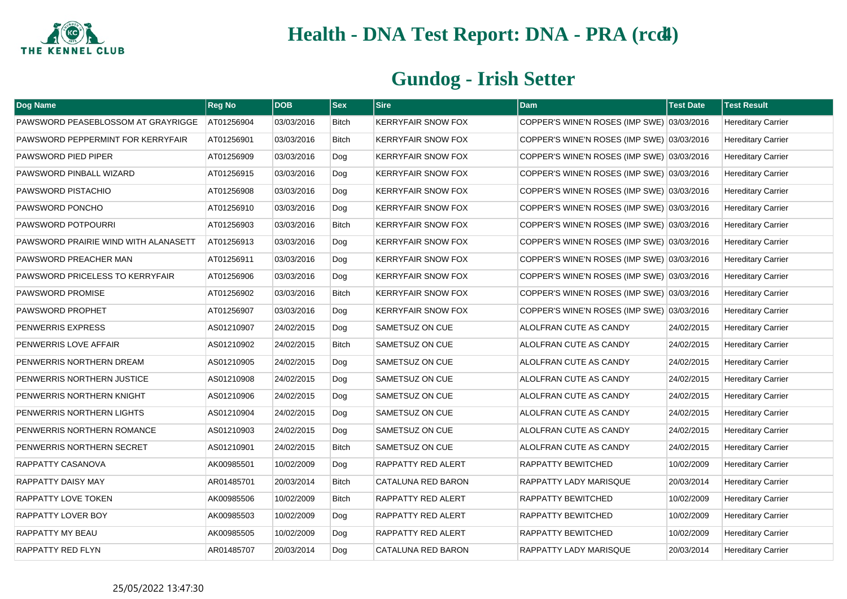

| Dog Name                             | <b>Reg No</b> | <b>DOB</b> | <b>Sex</b>   | <b>Sire</b>               | <b>Dam</b>                                 | <b>Test Date</b> | <b>Test Result</b>        |
|--------------------------------------|---------------|------------|--------------|---------------------------|--------------------------------------------|------------------|---------------------------|
| PAWSWORD PEASEBLOSSOM AT GRAYRIGGE   | AT01256904    | 03/03/2016 | <b>Bitch</b> | <b>KERRYFAIR SNOW FOX</b> | COPPER'S WINE'N ROSES (IMP SWE) 03/03/2016 |                  | <b>Hereditary Carrier</b> |
| PAWSWORD PEPPERMINT FOR KERRYFAIR    | AT01256901    | 03/03/2016 | Bitch        | <b>KERRYFAIR SNOW FOX</b> | COPPER'S WINE'N ROSES (IMP SWE) 03/03/2016 |                  | <b>Hereditary Carrier</b> |
| PAWSWORD PIED PIPER                  | AT01256909    | 03/03/2016 | Dog          | <b>KERRYFAIR SNOW FOX</b> | COPPER'S WINE'N ROSES (IMP SWE) 03/03/2016 |                  | <b>Hereditary Carrier</b> |
| PAWSWORD PINBALL WIZARD              | AT01256915    | 03/03/2016 | Dog          | <b>KERRYFAIR SNOW FOX</b> | COPPER'S WINE'N ROSES (IMP SWE) 03/03/2016 |                  | <b>Hereditary Carrier</b> |
| PAWSWORD PISTACHIO                   | AT01256908    | 03/03/2016 | Dog          | <b>KERRYFAIR SNOW FOX</b> | COPPER'S WINE'N ROSES (IMP SWE) 03/03/2016 |                  | <b>Hereditary Carrier</b> |
| PAWSWORD PONCHO                      | AT01256910    | 03/03/2016 | Dog          | <b>KERRYFAIR SNOW FOX</b> | COPPER'S WINE'N ROSES (IMP SWE) 03/03/2016 |                  | <b>Hereditary Carrier</b> |
| PAWSWORD POTPOURRI                   | AT01256903    | 03/03/2016 | <b>Bitch</b> | <b>KERRYFAIR SNOW FOX</b> | COPPER'S WINE'N ROSES (IMP SWE) 03/03/2016 |                  | <b>Hereditary Carrier</b> |
| PAWSWORD PRAIRIE WIND WITH ALANASETT | AT01256913    | 03/03/2016 | Dog          | <b>KERRYFAIR SNOW FOX</b> | COPPER'S WINE'N ROSES (IMP SWE) 03/03/2016 |                  | <b>Hereditary Carrier</b> |
| PAWSWORD PREACHER MAN                | AT01256911    | 03/03/2016 | Dog          | <b>KERRYFAIR SNOW FOX</b> | COPPER'S WINE'N ROSES (IMP SWE) 03/03/2016 |                  | <b>Hereditary Carrier</b> |
| PAWSWORD PRICELESS TO KERRYFAIR      | AT01256906    | 03/03/2016 | Dog          | <b>KERRYFAIR SNOW FOX</b> | COPPER'S WINE'N ROSES (IMP SWE) 03/03/2016 |                  | <b>Hereditary Carrier</b> |
| PAWSWORD PROMISE                     | AT01256902    | 03/03/2016 | <b>Bitch</b> | <b>KERRYFAIR SNOW FOX</b> | COPPER'S WINE'N ROSES (IMP SWE) 03/03/2016 |                  | <b>Hereditary Carrier</b> |
| PAWSWORD PROPHET                     | AT01256907    | 03/03/2016 | Dog          | <b>KERRYFAIR SNOW FOX</b> | COPPER'S WINE'N ROSES (IMP SWE) 03/03/2016 |                  | <b>Hereditary Carrier</b> |
| PENWERRIS EXPRESS                    | AS01210907    | 24/02/2015 | Dog          | SAMETSUZ ON CUE           | ALOLFRAN CUTE AS CANDY                     | 24/02/2015       | <b>Hereditary Carrier</b> |
| PENWERRIS LOVE AFFAIR                | AS01210902    | 24/02/2015 | <b>Bitch</b> | SAMETSUZ ON CUE           | ALOLFRAN CUTE AS CANDY                     | 24/02/2015       | <b>Hereditary Carrier</b> |
| PENWERRIS NORTHERN DREAM             | AS01210905    | 24/02/2015 | Dog          | <b>SAMETSUZ ON CUE</b>    | ALOLFRAN CUTE AS CANDY                     | 24/02/2015       | <b>Hereditary Carrier</b> |
| PENWERRIS NORTHERN JUSTICE           | AS01210908    | 24/02/2015 | Dog          | SAMETSUZ ON CUE           | ALOLFRAN CUTE AS CANDY                     | 24/02/2015       | <b>Hereditary Carrier</b> |
| PENWERRIS NORTHERN KNIGHT            | AS01210906    | 24/02/2015 | Dog          | SAMETSUZ ON CUE           | ALOLFRAN CUTE AS CANDY                     | 24/02/2015       | <b>Hereditary Carrier</b> |
| PENWERRIS NORTHERN LIGHTS            | AS01210904    | 24/02/2015 | Dog          | SAMETSUZ ON CUE           | ALOLFRAN CUTE AS CANDY                     | 24/02/2015       | <b>Hereditary Carrier</b> |
| PENWERRIS NORTHERN ROMANCE           | AS01210903    | 24/02/2015 | Dog          | <b>SAMETSUZ ON CUE</b>    | ALOLFRAN CUTE AS CANDY                     | 24/02/2015       | <b>Hereditary Carrier</b> |
| PENWERRIS NORTHERN SECRET            | AS01210901    | 24/02/2015 | <b>Bitch</b> | <b>SAMETSUZ ON CUE</b>    | ALOLFRAN CUTE AS CANDY                     | 24/02/2015       | <b>Hereditary Carrier</b> |
| RAPPATTY CASANOVA                    | AK00985501    | 10/02/2009 | Dog          | <b>RAPPATTY RED ALERT</b> | <b>RAPPATTY BEWITCHED</b>                  | 10/02/2009       | <b>Hereditary Carrier</b> |
| RAPPATTY DAISY MAY                   | AR01485701    | 20/03/2014 | <b>Bitch</b> | CATALUNA RED BARON        | <b>RAPPATTY LADY MARISQUE</b>              | 20/03/2014       | <b>Hereditary Carrier</b> |
| RAPPATTY LOVE TOKEN                  | AK00985506    | 10/02/2009 | Bitch        | <b>RAPPATTY RED ALERT</b> | <b>RAPPATTY BEWITCHED</b>                  | 10/02/2009       | <b>Hereditary Carrier</b> |
| RAPPATTY LOVER BOY                   | AK00985503    | 10/02/2009 | Dog          | <b>RAPPATTY RED ALERT</b> | <b>RAPPATTY BEWITCHED</b>                  | 10/02/2009       | <b>Hereditary Carrier</b> |
| RAPPATTY MY BEAU                     | AK00985505    | 10/02/2009 | Dog          | RAPPATTY RED ALERT        | RAPPATTY BEWITCHED                         | 10/02/2009       | <b>Hereditary Carrier</b> |
| RAPPATTY RED FLYN                    | AR01485707    | 20/03/2014 | Dog          | <b>CATALUNA RED BARON</b> | RAPPATTY LADY MARISQUE                     | 20/03/2014       | <b>Hereditary Carrier</b> |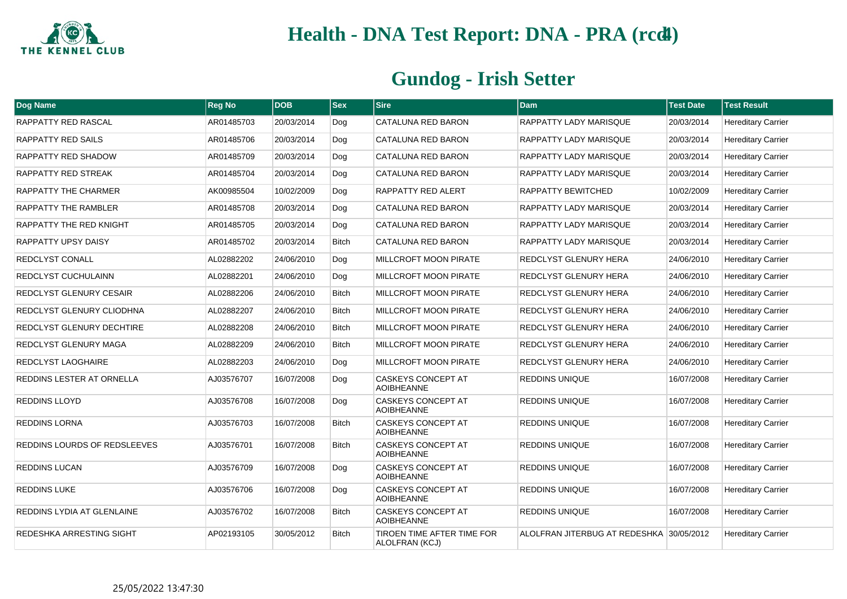

| Dog Name                     | <b>Reg No</b> | <b>DOB</b> | $ $ Sex      | <b>Sire</b>                                    | <b>Dam</b>                               | <b>Test Date</b> | <b>Test Result</b>        |
|------------------------------|---------------|------------|--------------|------------------------------------------------|------------------------------------------|------------------|---------------------------|
| RAPPATTY RED RASCAL          | AR01485703    | 20/03/2014 | Dog          | CATALUNA RED BARON                             | RAPPATTY LADY MARISQUE                   | 20/03/2014       | <b>Hereditary Carrier</b> |
| RAPPATTY RED SAILS           | AR01485706    | 20/03/2014 | Dog          | CATALUNA RED BARON                             | <b>RAPPATTY LADY MARISQUE</b>            | 20/03/2014       | <b>Hereditary Carrier</b> |
| RAPPATTY RED SHADOW          | AR01485709    | 20/03/2014 | Dog          | CATALUNA RED BARON                             | RAPPATTY LADY MARISQUE                   | 20/03/2014       | <b>Hereditary Carrier</b> |
| RAPPATTY RED STREAK          | AR01485704    | 20/03/2014 | Dog          | <b>CATALUNA RED BARON</b>                      | <b>RAPPATTY LADY MARISQUE</b>            | 20/03/2014       | <b>Hereditary Carrier</b> |
| RAPPATTY THE CHARMER         | AK00985504    | 10/02/2009 | Dog          | RAPPATTY RED ALERT                             | RAPPATTY BEWITCHED                       | 10/02/2009       | <b>Hereditary Carrier</b> |
| RAPPATTY THE RAMBLER         | AR01485708    | 20/03/2014 | Dog          | <b>CATALUNA RED BARON</b>                      | <b>RAPPATTY LADY MARISQUE</b>            | 20/03/2014       | <b>Hereditary Carrier</b> |
| RAPPATTY THE RED KNIGHT      | AR01485705    | 20/03/2014 | Dog          | CATALUNA RED BARON                             | RAPPATTY LADY MARISQUE                   | 20/03/2014       | <b>Hereditary Carrier</b> |
| RAPPATTY UPSY DAISY          | AR01485702    | 20/03/2014 | <b>Bitch</b> | CATALUNA RED BARON                             | <b>RAPPATTY LADY MARISQUE</b>            | 20/03/2014       | <b>Hereditary Carrier</b> |
| REDCLYST CONALL              | AL02882202    | 24/06/2010 | Dog          | MILLCROFT MOON PIRATE                          | REDCLYST GLENURY HERA                    | 24/06/2010       | <b>Hereditary Carrier</b> |
| REDCLYST CUCHULAINN          | AL02882201    | 24/06/2010 | Dog          | MILLCROFT MOON PIRATE                          | REDCLYST GLENURY HERA                    | 24/06/2010       | <b>Hereditary Carrier</b> |
| REDCLYST GLENURY CESAIR      | AL02882206    | 24/06/2010 | <b>Bitch</b> | <b>MILLCROFT MOON PIRATE</b>                   | REDCLYST GLENURY HERA                    | 24/06/2010       | <b>Hereditary Carrier</b> |
| REDCLYST GLENURY CLIODHNA    | AL02882207    | 24/06/2010 | <b>Bitch</b> | <b>MILLCROFT MOON PIRATE</b>                   | <b>REDCLYST GLENURY HERA</b>             | 24/06/2010       | <b>Hereditary Carrier</b> |
| REDCLYST GLENURY DECHTIRE    | AL02882208    | 24/06/2010 | <b>Bitch</b> | <b>MILLCROFT MOON PIRATE</b>                   | REDCLYST GLENURY HERA                    | 24/06/2010       | <b>Hereditary Carrier</b> |
| REDCLYST GLENURY MAGA        | AL02882209    | 24/06/2010 | <b>Bitch</b> | MILLCROFT MOON PIRATE                          | REDCLYST GLENURY HERA                    | 24/06/2010       | <b>Hereditary Carrier</b> |
| REDCLYST LAOGHAIRE           | AL02882203    | 24/06/2010 | Dog          | MILLCROFT MOON PIRATE                          | REDCLYST GLENURY HERA                    | 24/06/2010       | <b>Hereditary Carrier</b> |
| REDDINS LESTER AT ORNELLA    | AJ03576707    | 16/07/2008 | Dog          | <b>CASKEYS CONCEPT AT</b><br><b>AOIBHEANNE</b> | <b>REDDINS UNIQUE</b>                    | 16/07/2008       | <b>Hereditary Carrier</b> |
| <b>REDDINS LLOYD</b>         | AJ03576708    | 16/07/2008 | Dog          | <b>CASKEYS CONCEPT AT</b><br><b>AOIBHEANNE</b> | REDDINS UNIQUE                           | 16/07/2008       | <b>Hereditary Carrier</b> |
| REDDINS LORNA                | AJ03576703    | 16/07/2008 | <b>Bitch</b> | <b>CASKEYS CONCEPT AT</b><br><b>AOIBHEANNE</b> | <b>REDDINS UNIQUE</b>                    | 16/07/2008       | <b>Hereditary Carrier</b> |
| REDDINS LOURDS OF REDSLEEVES | AJ03576701    | 16/07/2008 | <b>Bitch</b> | <b>CASKEYS CONCEPT AT</b><br><b>AOIBHEANNE</b> | <b>REDDINS UNIQUE</b>                    | 16/07/2008       | <b>Hereditary Carrier</b> |
| REDDINS LUCAN                | AJ03576709    | 16/07/2008 | Dog          | <b>CASKEYS CONCEPT AT</b><br><b>AOIBHEANNE</b> | REDDINS UNIQUE                           | 16/07/2008       | <b>Hereditary Carrier</b> |
| <b>REDDINS LUKE</b>          | AJ03576706    | 16/07/2008 | Dog          | <b>CASKEYS CONCEPT AT</b><br><b>AOIBHEANNE</b> | <b>REDDINS UNIQUE</b>                    | 16/07/2008       | <b>Hereditary Carrier</b> |
| REDDINS LYDIA AT GLENLAINE   | AJ03576702    | 16/07/2008 | <b>Bitch</b> | <b>CASKEYS CONCEPT AT</b><br><b>AOIBHEANNE</b> | <b>REDDINS UNIQUE</b>                    | 16/07/2008       | <b>Hereditary Carrier</b> |
| REDESHKA ARRESTING SIGHT     | AP02193105    | 30/05/2012 | <b>Bitch</b> | TIROEN TIME AFTER TIME FOR<br>ALOLFRAN (KCJ)   | ALOLFRAN JITERBUG AT REDESHKA 30/05/2012 |                  | <b>Hereditary Carrier</b> |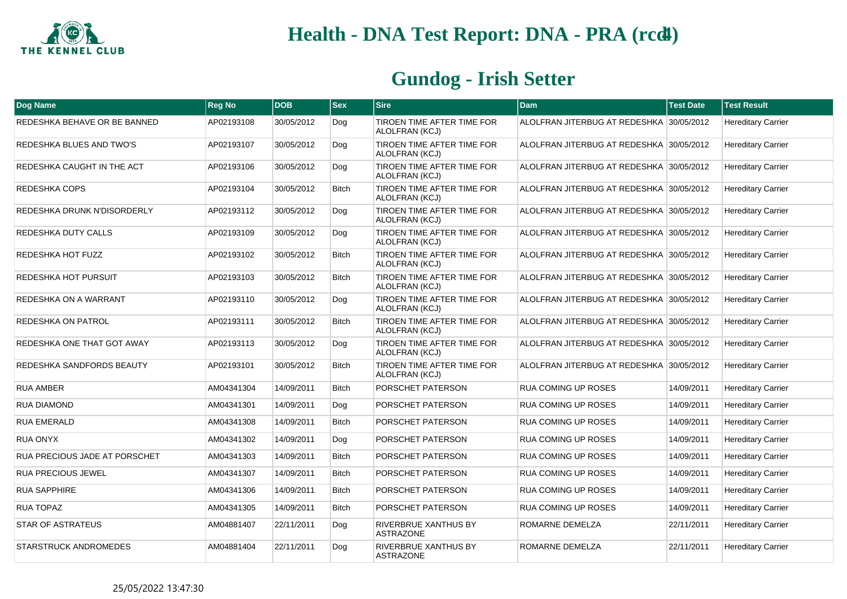

| Dog Name                             | <b>Reg No</b> | <b>DOB</b> | <b>Sex</b>   | <b>Sire</b>                                     | <b>Dam</b>                               | <b>Test Date</b> | <b>Test Result</b>        |
|--------------------------------------|---------------|------------|--------------|-------------------------------------------------|------------------------------------------|------------------|---------------------------|
| REDESHKA BEHAVE OR BE BANNED         | AP02193108    | 30/05/2012 | Dog          | TIROEN TIME AFTER TIME FOR<br>ALOLFRAN (KCJ)    | ALOLFRAN JITERBUG AT REDESHKA 30/05/2012 |                  | <b>Hereditary Carrier</b> |
| REDESHKA BLUES AND TWO'S             | AP02193107    | 30/05/2012 | Dog          | TIROEN TIME AFTER TIME FOR<br>ALOLFRAN (KCJ)    | ALOLFRAN JITERBUG AT REDESHKA 30/05/2012 |                  | <b>Hereditary Carrier</b> |
| REDESHKA CAUGHT IN THE ACT           | AP02193106    | 30/05/2012 | Dog          | TIROEN TIME AFTER TIME FOR<br>ALOLFRAN (KCJ)    | ALOLFRAN JITERBUG AT REDESHKA 30/05/2012 |                  | <b>Hereditary Carrier</b> |
| <b>REDESHKA COPS</b>                 | AP02193104    | 30/05/2012 | <b>Bitch</b> | TIROEN TIME AFTER TIME FOR<br>ALOLFRAN (KCJ)    | ALOLFRAN JITERBUG AT REDESHKA 30/05/2012 |                  | <b>Hereditary Carrier</b> |
| REDESHKA DRUNK N'DISORDERLY          | AP02193112    | 30/05/2012 | Dog          | TIROEN TIME AFTER TIME FOR<br>ALOLFRAN (KCJ)    | ALOLFRAN JITERBUG AT REDESHKA 30/05/2012 |                  | <b>Hereditary Carrier</b> |
| REDESHKA DUTY CALLS                  | AP02193109    | 30/05/2012 | Dog          | TIROEN TIME AFTER TIME FOR<br>ALOLFRAN (KCJ)    | ALOLFRAN JITERBUG AT REDESHKA 30/05/2012 |                  | <b>Hereditary Carrier</b> |
| REDESHKA HOT FUZZ                    | AP02193102    | 30/05/2012 | <b>Bitch</b> | TIROEN TIME AFTER TIME FOR<br>ALOLFRAN (KCJ)    | ALOLFRAN JITERBUG AT REDESHKA 30/05/2012 |                  | <b>Hereditary Carrier</b> |
| REDESHKA HOT PURSUIT                 | AP02193103    | 30/05/2012 | <b>Bitch</b> | TIROEN TIME AFTER TIME FOR<br>ALOLFRAN (KCJ)    | ALOLFRAN JITERBUG AT REDESHKA 30/05/2012 |                  | <b>Hereditary Carrier</b> |
| REDESHKA ON A WARRANT                | AP02193110    | 30/05/2012 | Dog          | TIROEN TIME AFTER TIME FOR<br>ALOLFRAN (KCJ)    | ALOLFRAN JITERBUG AT REDESHKA 30/05/2012 |                  | <b>Hereditary Carrier</b> |
| <b>REDESHKA ON PATROL</b>            | AP02193111    | 30/05/2012 | <b>Bitch</b> | TIROEN TIME AFTER TIME FOR<br>ALOLFRAN (KCJ)    | ALOLFRAN JITERBUG AT REDESHKA 30/05/2012 |                  | <b>Hereditary Carrier</b> |
| REDESHKA ONE THAT GOT AWAY           | AP02193113    | 30/05/2012 | Dog          | TIROEN TIME AFTER TIME FOR<br>ALOLFRAN (KCJ)    | ALOLFRAN JITERBUG AT REDESHKA 30/05/2012 |                  | <b>Hereditary Carrier</b> |
| REDESHKA SANDFORDS BEAUTY            | AP02193101    | 30/05/2012 | <b>Bitch</b> | TIROEN TIME AFTER TIME FOR<br>ALOLFRAN (KCJ)    | ALOLFRAN JITERBUG AT REDESHKA 30/05/2012 |                  | <b>Hereditary Carrier</b> |
| <b>RUA AMBER</b>                     | AM04341304    | 14/09/2011 | <b>Bitch</b> | PORSCHET PATERSON                               | <b>RUA COMING UP ROSES</b>               | 14/09/2011       | <b>Hereditary Carrier</b> |
| <b>RUA DIAMOND</b>                   | AM04341301    | 14/09/2011 | Dog          | PORSCHET PATERSON                               | <b>RUA COMING UP ROSES</b>               | 14/09/2011       | <b>Hereditary Carrier</b> |
| <b>RUA EMERALD</b>                   | AM04341308    | 14/09/2011 | <b>Bitch</b> | PORSCHET PATERSON                               | <b>RUA COMING UP ROSES</b>               | 14/09/2011       | <b>Hereditary Carrier</b> |
| <b>RUA ONYX</b>                      | AM04341302    | 14/09/2011 | Dog          | PORSCHET PATERSON                               | <b>RUA COMING UP ROSES</b>               | 14/09/2011       | <b>Hereditary Carrier</b> |
| <b>RUA PRECIOUS JADE AT PORSCHET</b> | AM04341303    | 14/09/2011 | <b>Bitch</b> | PORSCHET PATERSON                               | <b>RUA COMING UP ROSES</b>               | 14/09/2011       | <b>Hereditary Carrier</b> |
| <b>RUA PRECIOUS JEWEL</b>            | AM04341307    | 14/09/2011 | Bitch        | PORSCHET PATERSON                               | <b>RUA COMING UP ROSES</b>               | 14/09/2011       | <b>Hereditary Carrier</b> |
| <b>RUA SAPPHIRE</b>                  | AM04341306    | 14/09/2011 | <b>Bitch</b> | PORSCHET PATERSON                               | <b>RUA COMING UP ROSES</b>               | 14/09/2011       | <b>Hereditary Carrier</b> |
| <b>RUA TOPAZ</b>                     | AM04341305    | 14/09/2011 | <b>Bitch</b> | PORSCHET PATERSON                               | <b>RUA COMING UP ROSES</b>               | 14/09/2011       | <b>Hereditary Carrier</b> |
| <b>STAR OF ASTRATEUS</b>             | AM04881407    | 22/11/2011 | Dog          | <b>RIVERBRUE XANTHUS BY</b><br><b>ASTRAZONE</b> | ROMARNE DEMELZA                          | 22/11/2011       | <b>Hereditary Carrier</b> |
| STARSTRUCK ANDROMEDES                | AM04881404    | 22/11/2011 | Dog          | <b>RIVERBRUE XANTHUS BY</b><br><b>ASTRAZONE</b> | ROMARNE DEMELZA                          | 22/11/2011       | <b>Hereditary Carrier</b> |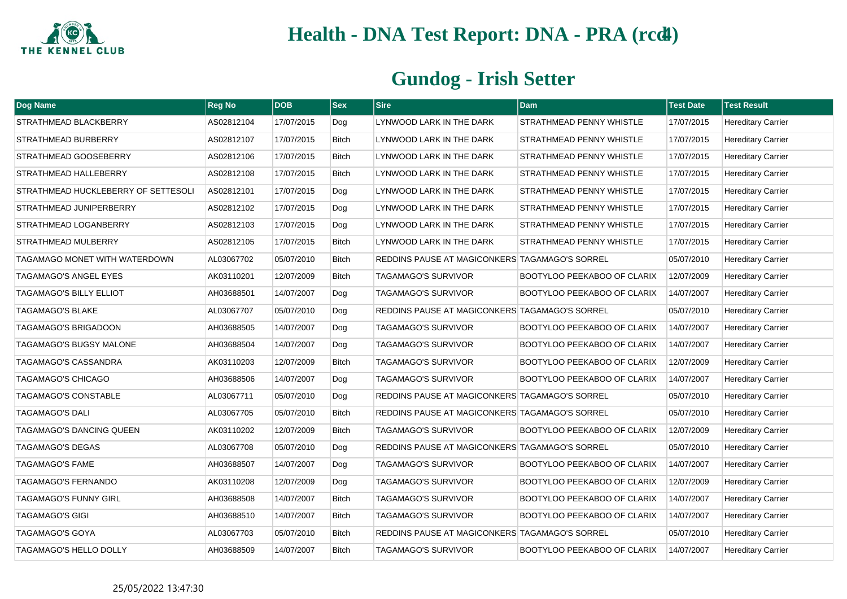

| Dog Name                            | <b>Reg No</b> | <b>DOB</b> | <b>Sex</b>   | <b>Sire</b>                                    | Dam                                | <b>Test Date</b> | <b>Test Result</b>        |
|-------------------------------------|---------------|------------|--------------|------------------------------------------------|------------------------------------|------------------|---------------------------|
| STRATHMEAD BLACKBERRY               | AS02812104    | 17/07/2015 | Dog          | LYNWOOD LARK IN THE DARK                       | <b>STRATHMEAD PENNY WHISTLE</b>    | 17/07/2015       | <b>Hereditary Carrier</b> |
| STRATHMEAD BURBERRY                 | AS02812107    | 17/07/2015 | <b>Bitch</b> | LYNWOOD LARK IN THE DARK                       | <b>STRATHMEAD PENNY WHISTLE</b>    | 17/07/2015       | <b>Hereditary Carrier</b> |
| STRATHMEAD GOOSEBERRY               | AS02812106    | 17/07/2015 | <b>Bitch</b> | LYNWOOD LARK IN THE DARK                       | <b>STRATHMEAD PENNY WHISTLE</b>    | 17/07/2015       | <b>Hereditary Carrier</b> |
| STRATHMEAD HALLEBERRY               | AS02812108    | 17/07/2015 | <b>Bitch</b> | LYNWOOD LARK IN THE DARK                       | <b>STRATHMEAD PENNY WHISTLE</b>    | 17/07/2015       | <b>Hereditary Carrier</b> |
| STRATHMEAD HUCKLEBERRY OF SETTESOLI | AS02812101    | 17/07/2015 | Dog          | LYNWOOD LARK IN THE DARK                       | STRATHMEAD PENNY WHISTLE           | 17/07/2015       | <b>Hereditary Carrier</b> |
| STRATHMEAD JUNIPERBERRY             | AS02812102    | 17/07/2015 | Dog          | LYNWOOD LARK IN THE DARK                       | <b>STRATHMEAD PENNY WHISTLE</b>    | 17/07/2015       | <b>Hereditary Carrier</b> |
| STRATHMEAD LOGANBERRY               | AS02812103    | 17/07/2015 | Dog          | LYNWOOD LARK IN THE DARK                       | STRATHMEAD PENNY WHISTLE           | 17/07/2015       | <b>Hereditary Carrier</b> |
| STRATHMEAD MULBERRY                 | AS02812105    | 17/07/2015 | <b>Bitch</b> | LYNWOOD LARK IN THE DARK                       | <b>STRATHMEAD PENNY WHISTLE</b>    | 17/07/2015       | <b>Hereditary Carrier</b> |
| TAGAMAGO MONET WITH WATERDOWN       | AL03067702    | 05/07/2010 | <b>Bitch</b> | REDDINS PAUSE AT MAGICONKERS TAGAMAGO'S SORREL |                                    | 05/07/2010       | <b>Hereditary Carrier</b> |
| TAGAMAGO'S ANGEL EYES               | AK03110201    | 12/07/2009 | <b>Bitch</b> | <b>TAGAMAGO'S SURVIVOR</b>                     | <b>BOOTYLOO PEEKABOO OF CLARIX</b> | 12/07/2009       | <b>Hereditary Carrier</b> |
| <b>TAGAMAGO'S BILLY ELLIOT</b>      | AH03688501    | 14/07/2007 | Dog          | <b>TAGAMAGO'S SURVIVOR</b>                     | BOOTYLOO PEEKABOO OF CLARIX        | 14/07/2007       | <b>Hereditary Carrier</b> |
| <b>TAGAMAGO'S BLAKE</b>             | AL03067707    | 05/07/2010 | Dog          | REDDINS PAUSE AT MAGICONKERS TAGAMAGO'S SORREL |                                    | 05/07/2010       | <b>Hereditary Carrier</b> |
| TAGAMAGO'S BRIGADOON                | AH03688505    | 14/07/2007 | Dog          | <b>TAGAMAGO'S SURVIVOR</b>                     | BOOTYLOO PEEKABOO OF CLARIX        | 14/07/2007       | <b>Hereditary Carrier</b> |
| TAGAMAGO'S BUGSY MALONE             | AH03688504    | 14/07/2007 | Dog          | <b>TAGAMAGO'S SURVIVOR</b>                     | BOOTYLOO PEEKABOO OF CLARIX        | 14/07/2007       | <b>Hereditary Carrier</b> |
| TAGAMAGO'S CASSANDRA                | AK03110203    | 12/07/2009 | <b>Bitch</b> | <b>TAGAMAGO'S SURVIVOR</b>                     | BOOTYLOO PEEKABOO OF CLARIX        | 12/07/2009       | <b>Hereditary Carrier</b> |
| TAGAMAGO'S CHICAGO                  | AH03688506    | 14/07/2007 | Dog          | <b>TAGAMAGO'S SURVIVOR</b>                     | BOOTYLOO PEEKABOO OF CLARIX        | 14/07/2007       | <b>Hereditary Carrier</b> |
| <b>TAGAMAGO'S CONSTABLE</b>         | AL03067711    | 05/07/2010 | Dog          | REDDINS PAUSE AT MAGICONKERS TAGAMAGO'S SORREL |                                    | 05/07/2010       | <b>Hereditary Carrier</b> |
| <b>TAGAMAGO'S DALI</b>              | AL03067705    | 05/07/2010 | <b>Bitch</b> | REDDINS PAUSE AT MAGICONKERS TAGAMAGO'S SORREL |                                    | 05/07/2010       | <b>Hereditary Carrier</b> |
| TAGAMAGO'S DANCING QUEEN            | AK03110202    | 12/07/2009 | <b>Bitch</b> | <b>TAGAMAGO'S SURVIVOR</b>                     | BOOTYLOO PEEKABOO OF CLARIX        | 12/07/2009       | <b>Hereditary Carrier</b> |
| TAGAMAGO'S DEGAS                    | AL03067708    | 05/07/2010 | Dog          | REDDINS PAUSE AT MAGICONKERS TAGAMAGO'S SORREL |                                    | 05/07/2010       | <b>Hereditary Carrier</b> |
| <b>TAGAMAGO'S FAME</b>              | AH03688507    | 14/07/2007 | Dog          | <b>TAGAMAGO'S SURVIVOR</b>                     | <b>BOOTYLOO PEEKABOO OF CLARIX</b> | 14/07/2007       | <b>Hereditary Carrier</b> |
| TAGAMAGO'S FERNANDO                 | AK03110208    | 12/07/2009 | Dog          | <b>TAGAMAGO'S SURVIVOR</b>                     | BOOTYLOO PEEKABOO OF CLARIX        | 12/07/2009       | <b>Hereditary Carrier</b> |
| TAGAMAGO'S FUNNY GIRL               | AH03688508    | 14/07/2007 | <b>Bitch</b> | <b>TAGAMAGO'S SURVIVOR</b>                     | BOOTYLOO PEEKABOO OF CLARIX        | 14/07/2007       | <b>Hereditary Carrier</b> |
| <b>TAGAMAGO'S GIGI</b>              | AH03688510    | 14/07/2007 | <b>Bitch</b> | <b>TAGAMAGO'S SURVIVOR</b>                     | BOOTYLOO PEEKABOO OF CLARIX        | 14/07/2007       | <b>Hereditary Carrier</b> |
| TAGAMAGO'S GOYA                     | AL03067703    | 05/07/2010 | <b>Bitch</b> | REDDINS PAUSE AT MAGICONKERS TAGAMAGO'S SORREL |                                    | 05/07/2010       | <b>Hereditary Carrier</b> |
| <b>TAGAMAGO'S HELLO DOLLY</b>       | AH03688509    | 14/07/2007 | <b>Bitch</b> | <b>TAGAMAGO'S SURVIVOR</b>                     | BOOTYLOO PEEKABOO OF CLARIX        | 14/07/2007       | <b>Hereditary Carrier</b> |